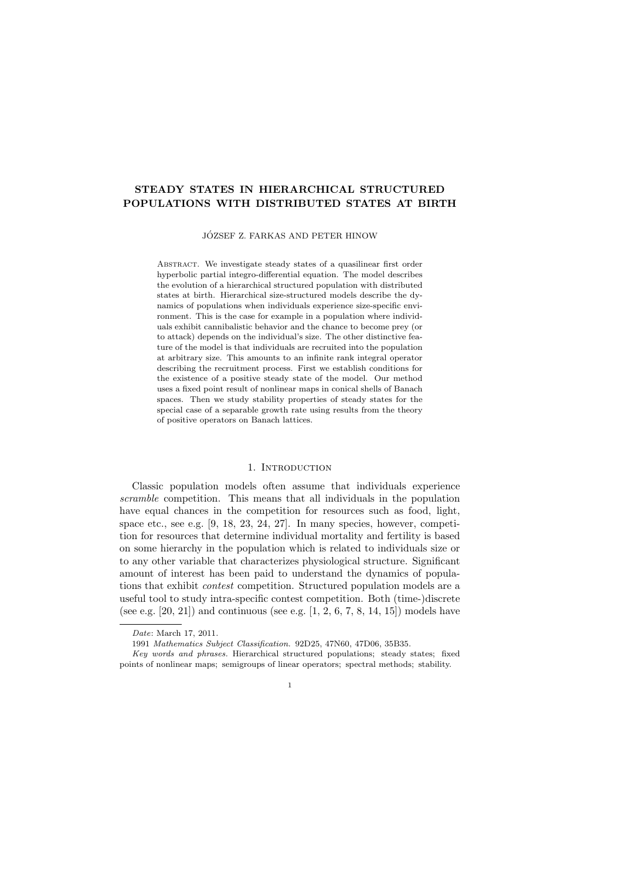# STEADY STATES IN HIERARCHICAL STRUCTURED POPULATIONS WITH DISTRIBUTED STATES AT BIRTH

# JOZSEF Z. FARKAS AND PETER HINOW ´

ABSTRACT. We investigate steady states of a quasilinear first order hyperbolic partial integro-differential equation. The model describes the evolution of a hierarchical structured population with distributed states at birth. Hierarchical size-structured models describe the dynamics of populations when individuals experience size-specific environment. This is the case for example in a population where individuals exhibit cannibalistic behavior and the chance to become prey (or to attack) depends on the individual's size. The other distinctive feature of the model is that individuals are recruited into the population at arbitrary size. This amounts to an infinite rank integral operator describing the recruitment process. First we establish conditions for the existence of a positive steady state of the model. Our method uses a fixed point result of nonlinear maps in conical shells of Banach spaces. Then we study stability properties of steady states for the special case of a separable growth rate using results from the theory of positive operators on Banach lattices.

#### 1. INTRODUCTION

Classic population models often assume that individuals experience scramble competition. This means that all individuals in the population have equal chances in the competition for resources such as food, light, space etc., see e.g. [9, 18, 23, 24, 27]. In many species, however, competition for resources that determine individual mortality and fertility is based on some hierarchy in the population which is related to individuals size or to any other variable that characterizes physiological structure. Significant amount of interest has been paid to understand the dynamics of populations that exhibit contest competition. Structured population models are a useful tool to study intra-specific contest competition. Both (time-)discrete (see e.g. [20, 21]) and continuous (see e.g.  $[1, 2, 6, 7, 8, 14, 15]$ ) models have

1

Date: March 17, 2011.

<sup>1991</sup> Mathematics Subject Classification. 92D25, 47N60, 47D06, 35B35.

Key words and phrases. Hierarchical structured populations; steady states; fixed points of nonlinear maps; semigroups of linear operators; spectral methods; stability.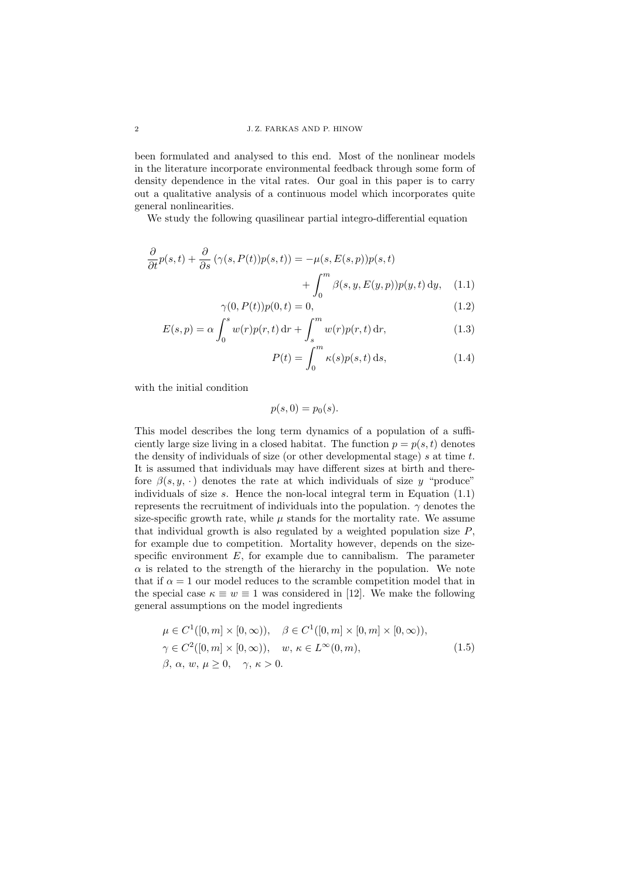been formulated and analysed to this end. Most of the nonlinear models in the literature incorporate environmental feedback through some form of density dependence in the vital rates. Our goal in this paper is to carry out a qualitative analysis of a continuous model which incorporates quite general nonlinearities.

We study the following quasilinear partial integro-differential equation

$$
\frac{\partial}{\partial t}p(s,t) + \frac{\partial}{\partial s}(\gamma(s,P(t))p(s,t)) = -\mu(s,E(s,p))p(s,t) \n+ \int_0^m \beta(s,y,E(y,p))p(y,t) dy, \quad (1.1)
$$

$$
\gamma(0, P(t))p(0, t) = 0,
$$
\n
$$
\zeta^{s}
$$
\n(1.2)

$$
E(s, p) = \alpha \int_0^s w(r)p(r, t) dr + \int_s^m w(r)p(r, t) dr,
$$
\n(1.3)

$$
P(t) = \int_0^m \kappa(s) p(s, t) \, \mathrm{d}s,\tag{1.4}
$$

with the initial condition

$$
p(s,0) = p_0(s).
$$

This model describes the long term dynamics of a population of a sufficiently large size living in a closed habitat. The function  $p = p(s, t)$  denotes the density of individuals of size (or other developmental stage)  $s$  at time  $t$ . It is assumed that individuals may have different sizes at birth and therefore  $\beta(s, y, \cdot)$  denotes the rate at which individuals of size y "produce" individuals of size s. Hence the non-local integral term in Equation  $(1.1)$ represents the recruitment of individuals into the population.  $\gamma$  denotes the size-specific growth rate, while  $\mu$  stands for the mortality rate. We assume that individual growth is also regulated by a weighted population size  $P$ , for example due to competition. Mortality however, depends on the sizespecific environment  $E$ , for example due to cannibalism. The parameter  $\alpha$  is related to the strength of the hierarchy in the population. We note that if  $\alpha = 1$  our model reduces to the scramble competition model that in the special case  $\kappa \equiv w \equiv 1$  was considered in [12]. We make the following general assumptions on the model ingredients

$$
\mu \in C^1([0, m] \times [0, \infty)), \quad \beta \in C^1([0, m] \times [0, m] \times [0, \infty)),
$$
  

$$
\gamma \in C^2([0, m] \times [0, \infty)), \quad w, \kappa \in L^{\infty}(0, m),
$$
  

$$
\beta, \alpha, w, \mu \ge 0, \quad \gamma, \kappa > 0.
$$
 (1.5)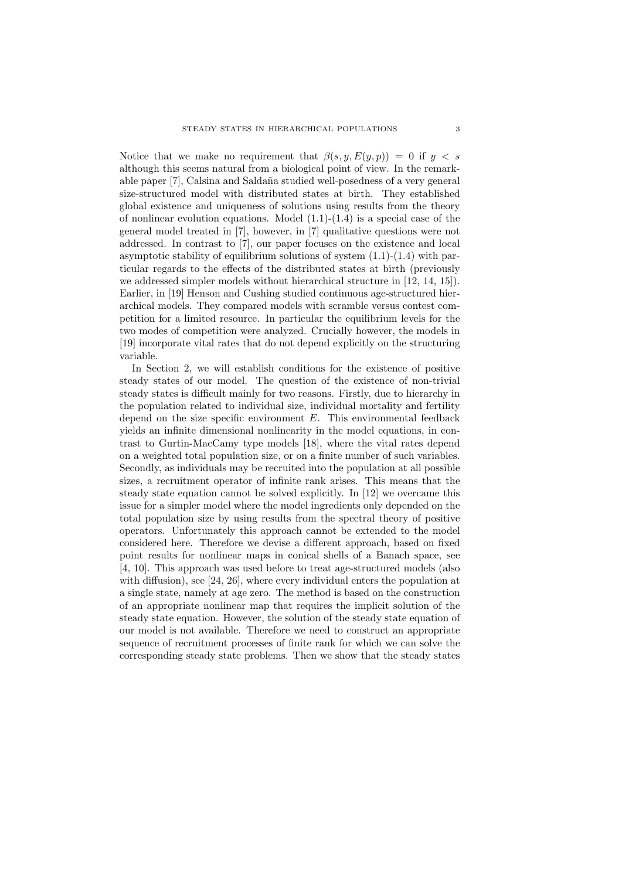Notice that we make no requirement that  $\beta(s, y, E(y, p)) = 0$  if  $y < s$ although this seems natural from a biological point of view. In the remarkable paper [7], Calsina and Salda˜na studied well-posedness of a very general size-structured model with distributed states at birth. They established global existence and uniqueness of solutions using results from the theory of nonlinear evolution equations. Model  $(1.1)-(1.4)$  is a special case of the general model treated in [7], however, in [7] qualitative questions were not addressed. In contrast to [7], our paper focuses on the existence and local asymptotic stability of equilibrium solutions of system (1.1)-(1.4) with particular regards to the effects of the distributed states at birth (previously we addressed simpler models without hierarchical structure in [12, 14, 15]). Earlier, in [19] Henson and Cushing studied continuous age-structured hierarchical models. They compared models with scramble versus contest competition for a limited resource. In particular the equilibrium levels for the two modes of competition were analyzed. Crucially however, the models in [19] incorporate vital rates that do not depend explicitly on the structuring variable.

In Section 2, we will establish conditions for the existence of positive steady states of our model. The question of the existence of non-trivial steady states is difficult mainly for two reasons. Firstly, due to hierarchy in the population related to individual size, individual mortality and fertility depend on the size specific environment  $E$ . This environmental feedback yields an infinite dimensional nonlinearity in the model equations, in contrast to Gurtin-MacCamy type models [18], where the vital rates depend on a weighted total population size, or on a finite number of such variables. Secondly, as individuals may be recruited into the population at all possible sizes, a recruitment operator of infinite rank arises. This means that the steady state equation cannot be solved explicitly. In [12] we overcame this issue for a simpler model where the model ingredients only depended on the total population size by using results from the spectral theory of positive operators. Unfortunately this approach cannot be extended to the model considered here. Therefore we devise a different approach, based on fixed point results for nonlinear maps in conical shells of a Banach space, see [4, 10]. This approach was used before to treat age-structured models (also with diffusion), see [24, 26], where every individual enters the population at a single state, namely at age zero. The method is based on the construction of an appropriate nonlinear map that requires the implicit solution of the steady state equation. However, the solution of the steady state equation of our model is not available. Therefore we need to construct an appropriate sequence of recruitment processes of finite rank for which we can solve the corresponding steady state problems. Then we show that the steady states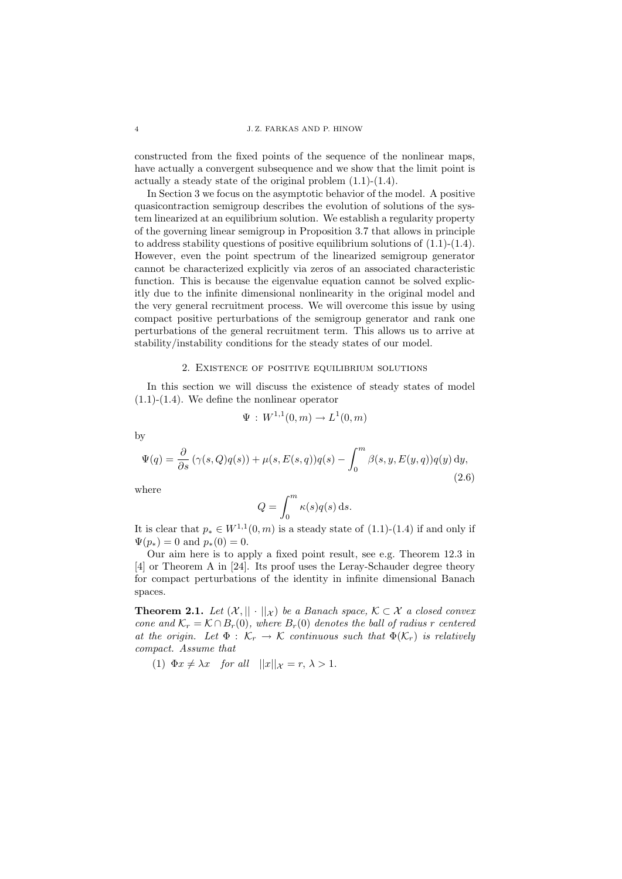constructed from the fixed points of the sequence of the nonlinear maps, have actually a convergent subsequence and we show that the limit point is actually a steady state of the original problem (1.1)-(1.4).

In Section 3 we focus on the asymptotic behavior of the model. A positive quasicontraction semigroup describes the evolution of solutions of the system linearized at an equilibrium solution. We establish a regularity property of the governing linear semigroup in Proposition 3.7 that allows in principle to address stability questions of positive equilibrium solutions of  $(1.1)-(1.4)$ . However, even the point spectrum of the linearized semigroup generator cannot be characterized explicitly via zeros of an associated characteristic function. This is because the eigenvalue equation cannot be solved explicitly due to the infinite dimensional nonlinearity in the original model and the very general recruitment process. We will overcome this issue by using compact positive perturbations of the semigroup generator and rank one perturbations of the general recruitment term. This allows us to arrive at stability/instability conditions for the steady states of our model.

### 2. Existence of positive equilibrium solutions

In this section we will discuss the existence of steady states of model (1.1)-(1.4). We define the nonlinear operator

$$
\Psi: W^{1,1}(0,m) \to L^1(0,m)
$$

by

$$
\Psi(q) = \frac{\partial}{\partial s} \left( \gamma(s, Q) q(s) \right) + \mu(s, E(s, q)) q(s) - \int_0^m \beta(s, y, E(y, q)) q(y) \, dy,
$$
\n(2.6)

where

$$
Q = \int_0^m \kappa(s) q(s) \, \mathrm{d}s.
$$

It is clear that  $p_* \in W^{1,1}(0,m)$  is a steady state of  $(1.1)-(1.4)$  if and only if  $\Psi(p_*) = 0$  and  $p_*(0) = 0$ .

Our aim here is to apply a fixed point result, see e.g. Theorem 12.3 in [4] or Theorem A in [24]. Its proof uses the Leray-Schauder degree theory for compact perturbations of the identity in infinite dimensional Banach spaces.

**Theorem 2.1.** Let  $(X, \|\cdot\|_X)$  be a Banach space,  $\mathcal{K} \subset \mathcal{X}$  a closed convex cone and  $\mathcal{K}_r = \mathcal{K} \cap B_r(0)$ , where  $B_r(0)$  denotes the ball of radius r centered at the origin. Let  $\Phi : \mathcal{K}_r \to \mathcal{K}$  continuous such that  $\Phi(\mathcal{K}_r)$  is relatively compact. Assume that

(1)  $\Phi x \neq \lambda x$  for all  $||x||_{\mathcal{X}} = r, \lambda > 1.$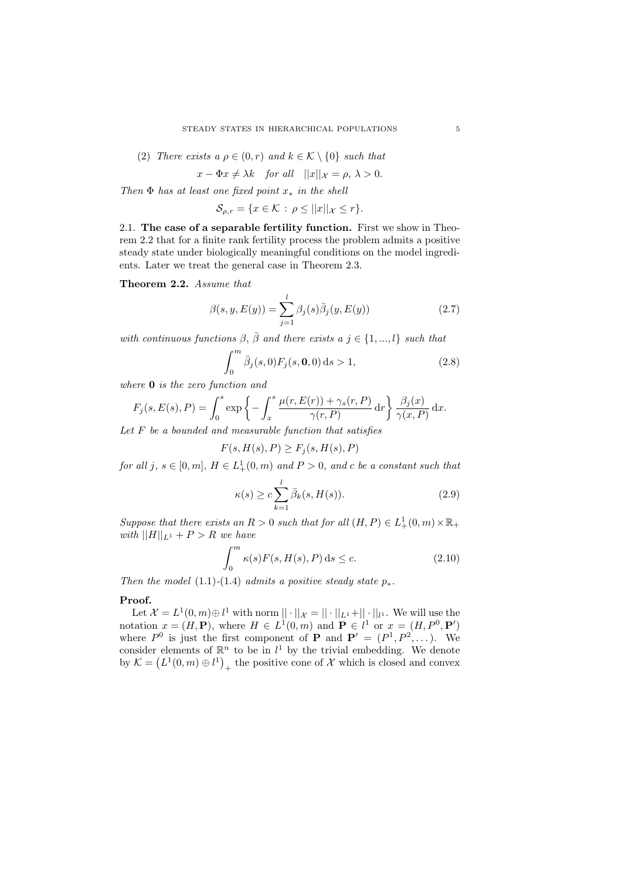(2) There exists a 
$$
\rho \in (0, r)
$$
 and  $k \in \mathcal{K} \setminus \{0\}$  such that

$$
x - \Phi x \neq \lambda k \quad \text{for all} \quad ||x||_{\mathcal{X}} = \rho, \ \lambda > 0.
$$

Then  $\Phi$  has at least one fixed point  $x_*$  in the shell

$$
\mathcal{S}_{\rho,r} = \{ x \in \mathcal{K} \, : \, \rho \le ||x||_{\mathcal{X}} \le r \}.
$$

2.1. The case of a separable fertility function. First we show in Theorem 2.2 that for a finite rank fertility process the problem admits a positive steady state under biologically meaningful conditions on the model ingredients. Later we treat the general case in Theorem 2.3.

Theorem 2.2. Assume that

$$
\beta(s, y, E(y)) = \sum_{j=1}^{l} \beta_j(s) \bar{\beta}_j(y, E(y))
$$
\n(2.7)

with continuous functions  $\beta$ ,  $\bar{\beta}$  and there exists a  $j \in \{1, ..., l\}$  such that

$$
\int_0^m \bar{\beta}_j(s,0) F_j(s,0,0) \, \mathrm{d}s > 1,\tag{2.8}
$$

where **0** is the zero function and

$$
F_j(s, E(s), P) = \int_0^s \exp\left\{-\int_x^s \frac{\mu(r, E(r)) + \gamma_s(r, P)}{\gamma(r, P)} dr\right\} \frac{\beta_j(x)}{\gamma(x, P)} dx.
$$

Let  $F$  be a bounded and measurable function that satisfies

$$
F(s, H(s), P) \ge F_j(s, H(s), P)
$$

for all j,  $s \in [0, m]$ ,  $H \in L^1_+(0, m)$  and  $P > 0$ , and c be a constant such that

$$
\kappa(s) \ge c \sum_{k=1}^{l} \bar{\beta}_k(s, H(s)).
$$
\n(2.9)

Suppose that there exists an  $R > 0$  such that for all  $(H, P) \in L^1_+(0, m) \times \mathbb{R}_+$ with  $||H||_{L^1} + P > R$  we have

$$
\int_0^m \kappa(s) F(s, H(s), P) \, \mathrm{d}s \le c. \tag{2.10}
$$

Then the model (1.1)-(1.4) admits a positive steady state  $p_*$ .

#### Proof.

Let  $\mathcal{X} = L^1(0,m) \oplus l^1$  with norm  $|| \cdot ||_{\mathcal{X}} = || \cdot ||_{L^1} + || \cdot ||_{l^1}$ . We will use the notation  $x = (H, \mathbf{P})$ , where  $H \in L^1(0, m)$  and  $\mathbf{P} \in l^1$  or  $x = (H, P^0, \mathbf{P}')$ where  $P^0$  is just the first component of **P** and  $P' = (P^1, P^2, \dots)$ . We consider elements of  $\mathbb{R}^n$  to be in  $l^1$  by the trivial embedding. We denote by  $\mathcal{K} = (L^1(0,m) \oplus l^1)_{+}$  the positive cone of X which is closed and convex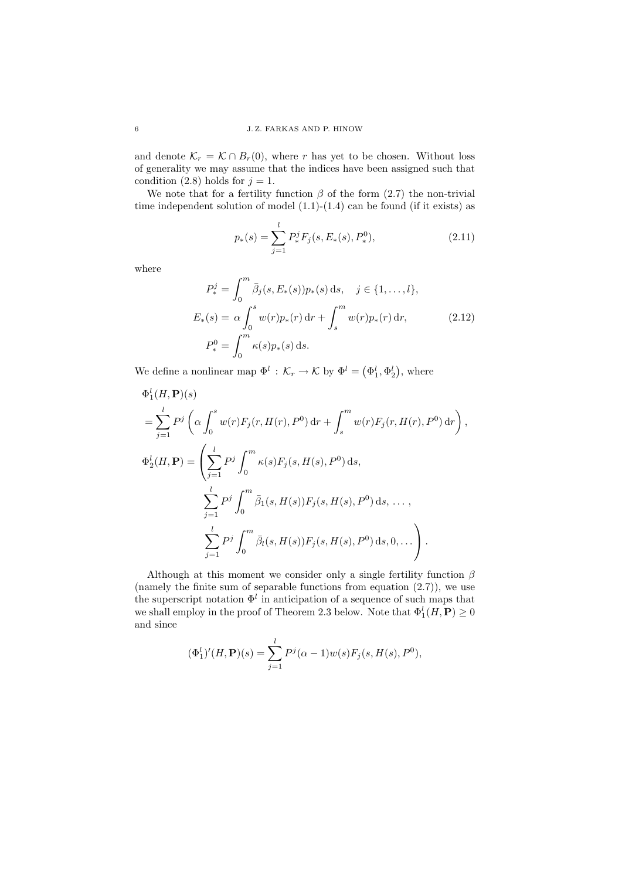and denote  $\mathcal{K}_r = \mathcal{K} \cap B_r(0)$ , where r has yet to be chosen. Without loss of generality we may assume that the indices have been assigned such that condition (2.8) holds for  $j = 1$ .

We note that for a fertility function  $\beta$  of the form (2.7) the non-trivial time independent solution of model  $(1.1)-(1.4)$  can be found (if it exists) as

$$
p_*(s) = \sum_{j=1}^{l} P_*^j F_j(s, E_*(s), P_*^0),
$$
\n(2.11)

where

$$
P_*^j = \int_0^m \bar{\beta}_j(s, E_*(s)) p_*(s) ds, \quad j \in \{1, ..., l\},
$$
  
\n
$$
E_*(s) = \alpha \int_0^s w(r) p_*(r) dr + \int_s^m w(r) p_*(r) dr,
$$
  
\n
$$
P_*^0 = \int_0^m \kappa(s) p_*(s) ds.
$$
\n(2.12)

We define a nonlinear map  $\Phi^l : \mathcal{K}_r \to \mathcal{K}$  by  $\Phi^l = (\Phi_1^l, \Phi_2^l)$ , where

$$
\Phi_1^l(H, \mathbf{P})(s)
$$
\n
$$
= \sum_{j=1}^l P^j \left( \alpha \int_0^s w(r) F_j(r, H(r), P^0) \, dr + \int_s^m w(r) F_j(r, H(r), P^0) \, dr \right),
$$
\n
$$
\Phi_2^l(H, \mathbf{P}) = \left( \sum_{j=1}^l P^j \int_0^m \kappa(s) F_j(s, H(s), P^0) \, ds,
$$
\n
$$
\sum_{j=1}^l P^j \int_0^m \bar{\beta}_1(s, H(s)) F_j(s, H(s), P^0) \, ds, \dots,
$$
\n
$$
\sum_{j=1}^l P^j \int_0^m \bar{\beta}_l(s, H(s)) F_j(s, H(s), P^0) \, ds, 0, \dots \right).
$$

Although at this moment we consider only a single fertility function  $\beta$ (namely the finite sum of separable functions from equation (2.7)), we use the superscript notation  $\Phi^l$  in anticipation of a sequence of such maps that we shall employ in the proof of Theorem 2.3 below. Note that  $\Phi_1^l(H, \mathbf{P}) \geq 0$ and since

$$
(\Phi_1^l)'(H, \mathbf{P})(s) = \sum_{j=1}^l P^j(\alpha - 1)w(s)F_j(s, H(s), P^0),
$$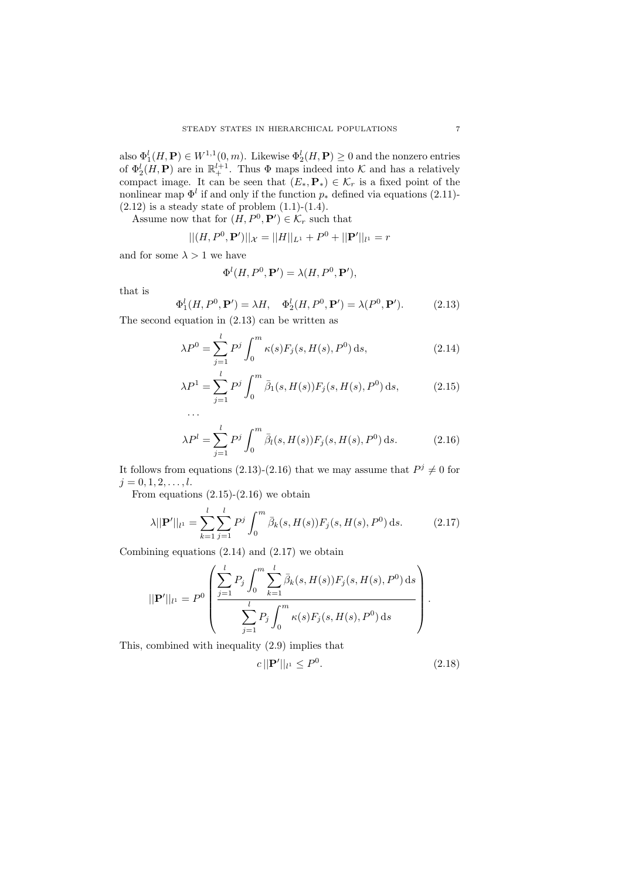also  $\Phi_1^l(H, \mathbf{P}) \in W^{1,1}(0,m)$ . Likewise  $\Phi_2^l(H, \mathbf{P}) \geq 0$  and the nonzero entries of  $\Phi_2^l(H, \mathbf{P})$  are in  $\mathbb{R}^{l+1}_+$ . Thus  $\Phi$  maps indeed into K and has a relatively compact image. It can be seen that  $(E_*, \mathbf{P}_*) \in \mathcal{K}_r$  is a fixed point of the nonlinear map  $\Phi^l$  if and only if the function  $p_*$  defined via equations (2.11)- $(2.12)$  is a steady state of problem  $(1.1)-(1.4)$ .

Assume now that for  $(H, P^0, \mathbf{P}') \in \mathcal{K}_r$  such that

$$
|| (H, P^{0}, \mathbf{P}') ||_{\mathcal{X}} = ||H||_{L^{1}} + P^{0} + ||\mathbf{P}'||_{l^{1}} = r
$$

and for some  $\lambda > 1$  we have

$$
\Phi^l(H, P^0, \mathbf{P}') = \lambda(H, P^0, \mathbf{P}'),
$$

that is

$$
\Phi_1^l(H, P^0, \mathbf{P}') = \lambda H, \quad \Phi_2^l(H, P^0, \mathbf{P}') = \lambda(P^0, \mathbf{P}'). \tag{2.13}
$$

The second equation in (2.13) can be written as

$$
\lambda P^0 = \sum_{j=1}^{l} P^j \int_0^m \kappa(s) F_j(s, H(s), P^0) \, \mathrm{d}s,\tag{2.14}
$$

$$
\lambda P^1 = \sum_{j=1}^{l} P^j \int_0^m \bar{\beta}_1(s, H(s)) F_j(s, H(s), P^0) \, ds,
$$
\n(2.15)

$$
\lambda P^{l} = \sum_{j=1}^{l} P^{j} \int_{0}^{m} \bar{\beta}_{l}(s, H(s)) F_{j}(s, H(s), P^{0}) ds.
$$
 (2.16)

It follows from equations (2.13)-(2.16) that we may assume that  $P^j \neq 0$  for  $j = 0, 1, 2, \ldots, l.$ 

From equations  $(2.15)-(2.16)$  we obtain

$$
\lambda ||\mathbf{P}'||_{l^{1}} = \sum_{k=1}^{l} \sum_{j=1}^{l} P^{j} \int_{0}^{m} \bar{\beta}_{k}(s, H(s)) F_{j}(s, H(s), P^{0}) ds.
$$
 (2.17)

Combining equations  $(2.14)$  and  $(2.17)$  we obtain

$$
||\mathbf{P}'||_{l^{1}} = P^{0} \left( \frac{\sum_{j=1}^{l} P_{j} \int_{0}^{m} \sum_{k=1}^{l} \bar{\beta}_{k}(s, H(s)) F_{j}(s, H(s), P^{0}) ds}{\sum_{j=1}^{l} P_{j} \int_{0}^{m} \kappa(s) F_{j}(s, H(s), P^{0}) ds} \right).
$$

This, combined with inequality (2.9) implies that

$$
c||\mathbf{P}'||_{l^{1}} \le P^{0}.
$$
\n(2.18)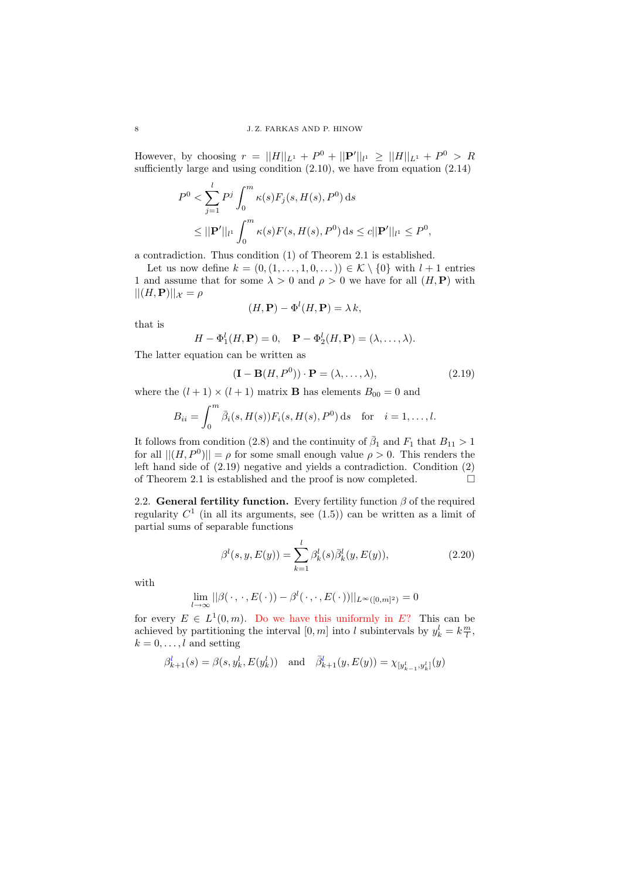However, by choosing  $r = ||H||_{L^1} + P^0 + ||P'||_{l^1} \geq ||H||_{L^1} + P^0 > R$ sufficiently large and using condition  $(2.10)$ , we have from equation  $(2.14)$ 

$$
P^{0} < \sum_{j=1}^{l} P^{j} \int_{0}^{m} \kappa(s) F_{j}(s, H(s), P^{0}) \, \mathrm{d}s
$$
\n
$$
\leq ||\mathbf{P}'||_{l^{1}} \int_{0}^{m} \kappa(s) F(s, H(s), P^{0}) \, \mathrm{d}s \leq c ||\mathbf{P}'||_{l^{1}} \leq P^{0},
$$

a contradiction. Thus condition (1) of Theorem 2.1 is established.

Let us now define  $k = (0, (1, \ldots, 1, 0, \ldots)) \in \mathcal{K} \setminus \{0\}$  with  $l + 1$  entries 1 and assume that for some  $\lambda > 0$  and  $\rho > 0$  we have for all  $(H, P)$  with  $||(H, \mathbf{P})||_{\mathcal{X}} = \rho$ 

$$
(H, \mathbf{P}) - \Phi^l(H, \mathbf{P}) = \lambda k,
$$

that is

$$
H - \Phi_1^l(H, \mathbf{P}) = 0, \quad \mathbf{P} - \Phi_2^l(H, \mathbf{P}) = (\lambda, \dots, \lambda).
$$

The latter equation can be written as

$$
(\mathbf{I} - \mathbf{B}(H, P^0)) \cdot \mathbf{P} = (\lambda, \dots, \lambda), \tag{2.19}
$$

where the  $(l + 1) \times (l + 1)$  matrix **B** has elements  $B_{00} = 0$  and

$$
B_{ii} = \int_0^m \bar{\beta}_i(s, H(s)) F_i(s, H(s), P^0) ds
$$
 for  $i = 1, ..., l$ .

It follows from condition (2.8) and the continuity of  $\bar{\beta}_1$  and  $F_1$  that  $B_{11} > 1$ for all  $||(H, P^0)|| = \rho$  for some small enough value  $\rho > 0$ . This renders the left hand side of (2.19) negative and yields a contradiction. Condition (2) of Theorem 2.1 is established and the proof is now completed.  $\Box$ 

2.2. General fertility function. Every fertility function  $\beta$  of the required regularity  $C<sup>1</sup>$  (in all its arguments, see  $(1.5)$ ) can be written as a limit of partial sums of separable functions

$$
\beta^{l}(s, y, E(y)) = \sum_{k=1}^{l} \beta^{l}_{k}(s) \bar{\beta}^{l}_{k}(y, E(y)),
$$
\n(2.20)

with

$$
\lim_{l\to\infty}||\beta(\cdot,\cdot,E(\cdot))-\beta^l(\cdot,\cdot,E(\cdot))||_{L^{\infty}([0,m]^2)}=0
$$

for every  $E \in L^1(0, m)$ . Do we have this uniformly in E? This can be achieved by partitioning the interval  $[0, m]$  into l subintervals by  $y_k^l = k \frac{m}{l}$ ,  $k = 0, \ldots, l$  and setting

$$
\beta_{k+1}^l(s) = \beta(s, y_k^l, E(y_k^l))
$$
 and  $\bar{\beta}_{k+1}^l(y, E(y)) = \chi_{[y_{k-1}^l, y_k^l]}(y)$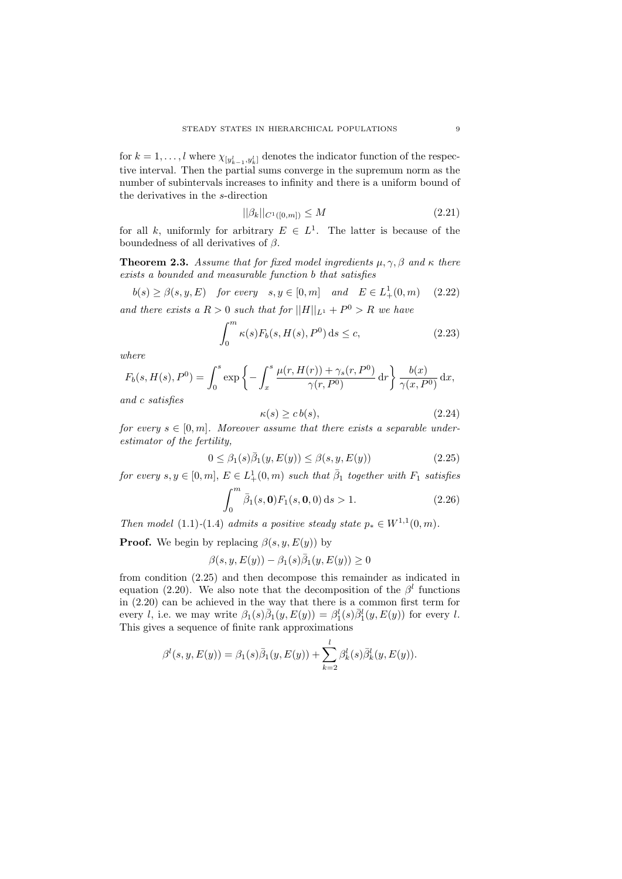for  $k = 1, \ldots, l$  where  $\chi_{[y_{k-1}^l, y_k^l]}$  denotes the indicator function of the respective interval. Then the partial sums converge in the supremum norm as the number of subintervals increases to infinity and there is a uniform bound of the derivatives in the s-direction

$$
||\beta_k||_{C^1([0,m])} \le M \tag{2.21}
$$

for all k, uniformly for arbitrary  $E \in L^1$ . The latter is because of the boundedness of all derivatives of  $\beta$ .

**Theorem 2.3.** Assume that for fixed model ingredients  $\mu, \gamma, \beta$  and  $\kappa$  there exists a bounded and measurable function b that satisfies

$$
b(s) \ge \beta(s, y, E) \quad \text{for every} \quad s, y \in [0, m] \quad \text{and} \quad E \in L^1_+(0, m) \quad (2.22)
$$
\n
$$
\text{and there exists a } R > 0 \text{ such that for } ||H||_{L^1} + P^0 > R \text{ we have}
$$

$$
\int_0^m \kappa(s) F_b(s, H(s), P^0) \, \mathrm{d}s \le c,\tag{2.23}
$$

where

$$
F_b(s, H(s), P^0) = \int_0^s \exp\left\{-\int_x^s \frac{\mu(r, H(r)) + \gamma_s(r, P^0)}{\gamma(r, P^0)} dr\right\} \frac{b(x)}{\gamma(x, P^0)} dx,
$$

and c satisfies

$$
\kappa(s) \ge c \, b(s),\tag{2.24}
$$

for every  $s \in [0, m]$ . Moreover assume that there exists a separable underestimator of the fertility,

$$
0 \leq \beta_1(s)\overline{\beta}_1(y, E(y)) \leq \beta(s, y, E(y))\tag{2.25}
$$

for every  $s, y \in [0, m], E \in L^1_+(0, m)$  such that  $\overline{\beta}_1$  together with  $F_1$  satisfies

$$
\int_0^m \bar{\beta}_1(s, \mathbf{0}) F_1(s, \mathbf{0}, 0) \, \mathrm{d}s > 1. \tag{2.26}
$$

Then model (1.1)-(1.4) admits a positive steady state  $p_* \in W^{1,1}(0,m)$ .

**Proof.** We begin by replacing  $\beta(s, y, E(y))$  by

$$
\beta(s, y, E(y)) - \beta_1(s)\overline{\beta}_1(y, E(y)) \ge 0
$$

from condition (2.25) and then decompose this remainder as indicated in equation (2.20). We also note that the decomposition of the  $\beta^l$  functions in (2.20) can be achieved in the way that there is a common first term for every l, i.e. we may write  $\beta_1(s)\overline{\beta}_1(y,E(y)) = \beta_1^l(s)\overline{\beta}_1^l(y,E(y))$  for every l. This gives a sequence of finite rank approximations

$$
\beta^{l}(s, y, E(y)) = \beta_{1}(s)\overline{\beta}_{1}(y, E(y)) + \sum_{k=2}^{l} \beta_{k}^{l}(s)\overline{\beta}_{k}^{l}(y, E(y)).
$$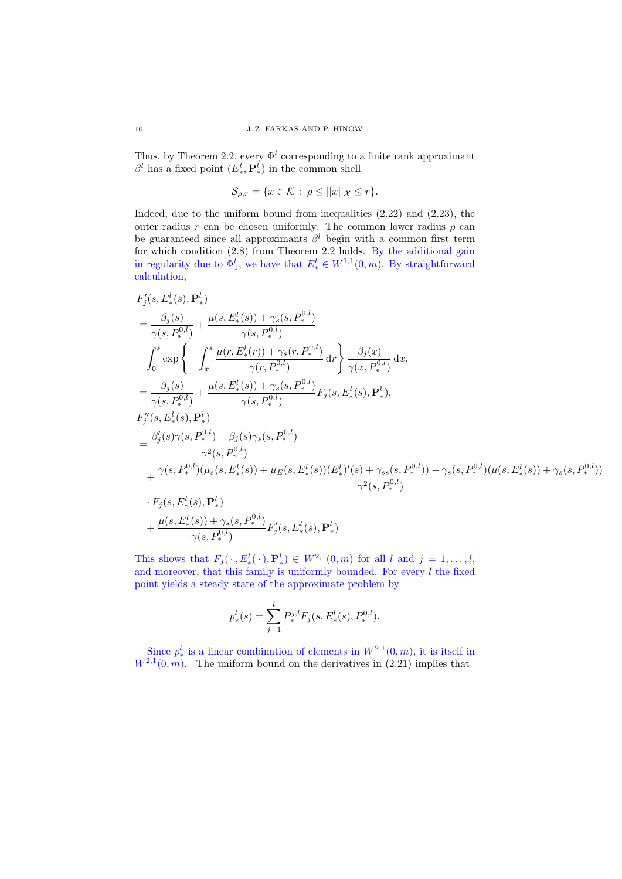Thus, by Theorem 2.2, every  $\Phi^l$  corresponding to a finite rank approximant  $\beta^l$  has a fixed point  $(E^l_*, \mathbf{P}^l_*)$  in the common shell

$$
\mathcal{S}_{\rho,r} = \{ x \in \mathcal{K} \, : \, \rho \le ||x||_{\mathcal{X}} \le r \}.
$$

Indeed, due to the uniform bound from inequalities  $(2.22)$  and  $(2.23)$ , the outer radius r can be chosen uniformly. The common lower radius  $\rho$  can be guaranteed since all approximants  $\beta^l$  begin with a common first term for which condition (2.8) from Theorem 2.2 holds. By the additional gain in regularity due to  $\Phi_1^l$ , we have that  $E_*^l \in W^{1,1}(0,m)$ . By straightforward calculation,

$$
F'_{j}(s, E_{*}^{l}(s), P_{*}^{l})
$$
\n
$$
= \frac{\beta_{j}(s)}{\gamma(s, P_{*}^{0,l})} + \frac{\mu(s, E_{*}^{l}(s)) + \gamma_{s}(s, P_{*}^{0,l})}{\gamma(s, P_{*}^{0,l})}
$$
\n
$$
\int_{0}^{s} \exp \left\{-\int_{x}^{s} \frac{\mu(r, E_{*}^{l}(r)) + \gamma_{s}(r, P_{*}^{0,l})}{\gamma(r, P_{*}^{0,l})} dr\right\} \frac{\beta_{j}(x)}{\gamma(x, P_{*}^{0,l})} dx,
$$
\n
$$
= \frac{\beta_{j}(s)}{\gamma(s, P_{*}^{0,l})} + \frac{\mu(s, E_{*}^{l}(s)) + \gamma_{s}(s, P_{*}^{0,l})}{\gamma(s, P_{*}^{0,l})} F_{j}(s, E_{*}^{l}(s), P_{*}^{l}),
$$
\n
$$
F''_{j}(s, E_{*}^{l}(s), P_{*}^{l})
$$
\n
$$
= \frac{\beta_{j}'(s)\gamma(s, P_{*}^{0,l}) - \beta_{j}(s)\gamma_{s}(s, P_{*}^{0,l})}{\gamma^{2}(s, P_{*}^{0,l})}
$$
\n
$$
+ \frac{\gamma(s, P_{*}^{0,l})(\mu_{s}(s, E_{*}^{l}(s)) + \mu_{E}(s, E_{*}^{l}(s)) (E_{*}^{l})'(s) + \gamma_{ss}(s, P_{*}^{0,l}) - \gamma_{s}(s, P_{*}^{0,l})(\mu(s, E_{*}^{l}(s)) + \gamma_{s}(s, P_{*}^{0,l})}{\gamma^{2}(s, P_{*}^{0,l})}
$$
\n
$$
\cdot F_{j}(s, E_{*}^{l}(s), P_{*}^{l})
$$
\n
$$
+ \frac{\mu(s, E_{*}^{l}(s)) + \gamma_{s}(s, P_{*}^{0,l})}{\gamma(s, P_{*}^{0,l})} F'_{j}(s, E_{*}^{l}(s), P_{*}^{l})
$$

This shows that  $F_j(\cdot, E^l_*(\cdot), P^l_*) \in W^{2,1}(0,m)$  for all l and  $j = 1, \ldots, l$ , and moreover, that this family is uniformly bounded. For every  $l$  the fixed point yields a steady state of the approximate problem by

$$
p_*^l(s) = \sum_{j=1}^l P_*^{j,l} F_j(s, E_*^l(s), P_*^{0,l}).
$$

Since  $p_*^l$  is a linear combination of elements in  $W^{2,1}(0,m)$ , it is itself in  $W^{2,1}(0,m)$ . The uniform bound on the derivatives in (2.21) implies that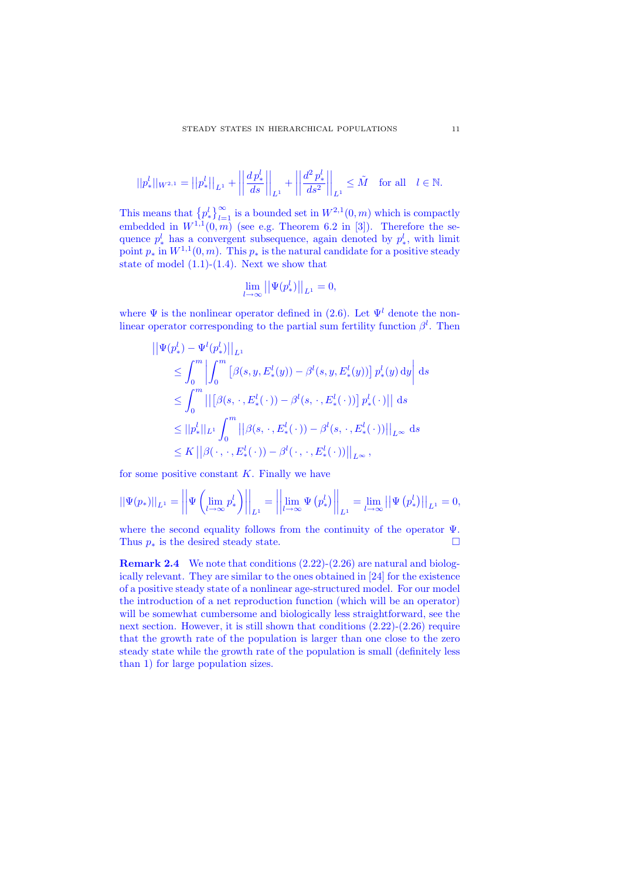$$
||p^l_*||_{W^{2,1}} = ||p^l_*||_{L^1} + \left||\frac{dp^l_*}{ds}\right||_{L^1} + \left||\frac{d^2p^l_*}{ds^2}\right||_{L^1} \leq \tilde{M} \text{ for all } l \in \mathbb{N}.
$$

This means that  $\left\{p^l_*\right\}_{l=1}^{\infty}$  is a bounded set in  $W^{2,1}(0,m)$  which is compactly embedded in  $W^{1,1}(0,m)$  (see e.g. Theorem 6.2 in [3]). Therefore the sequence  $p^l_*$  has a convergent subsequence, again denoted by  $p^l_*$ , with limit point  $p_*$  in  $W^{1,1}(0,m)$ . This  $p_*$  is the natural candidate for a positive steady state of model  $(1.1)-(1.4)$ . Next we show that

$$
\lim_{l \to \infty} ||\Psi(p^l_*)||_{L^1} = 0,
$$

where  $\Psi$  is the nonlinear operator defined in (2.6). Let  $\Psi^l$  denote the nonlinear operator corresponding to the partial sum fertility function  $\beta^l$ . Then

$$
\begin{aligned}\n\|\Psi(p_*^l) - \Psi^l(p_*^l)\|_{L^1} \\
&\leq \int_0^m \left| \int_0^m \left[ \beta(s, y, E_*^l(y)) - \beta^l(s, y, E_*^l(y)) \right] p_*^l(y) \, \mathrm{d}y \right| \, \mathrm{d}s \\
&\leq \int_0^m \left| \left[ \beta(s, \cdot, E_*^l(\cdot)) - \beta^l(s, \cdot, E_*^l(\cdot)) \right] p_*^l(\cdot) \right| \right| \, \mathrm{d}s \\
&\leq \|p_*^l\|_{L^1} \int_0^m \left| \left[ \beta(s, \cdot, E_*^l(\cdot)) - \beta^l(s, \cdot, E_*^l(\cdot)) \right] \right|_{L^\infty} \, \mathrm{d}s \\
&\leq K \left| \left[ \beta(\cdot, \cdot, E_*^l(\cdot)) - \beta^l(\cdot, \cdot, E_*^l(\cdot)) \right] \right|_{L^\infty},\n\end{aligned}
$$

for some positive constant  $K$ . Finally we have

$$
||\Psi(p_*)||_{L^1} = \left| \left| \Psi\left(\lim_{l \to \infty} p_*^l \right) \right| \right|_{L^1} = \left| \left| \lim_{l \to \infty} \Psi\left(p_*^l \right) \right| \right|_{L^1} = \lim_{l \to \infty} \left| \left| \Psi\left(p_*^l \right) \right| \right|_{L^1} = 0,
$$

where the second equality follows from the continuity of the operator  $\Psi$ . Thus  $p_*$  is the desired steady state.

Remark 2.4 We note that conditions  $(2.22)-(2.26)$  are natural and biologically relevant. They are similar to the ones obtained in [24] for the existence of a positive steady state of a nonlinear age-structured model. For our model the introduction of a net reproduction function (which will be an operator) will be somewhat cumbersome and biologically less straightforward, see the next section. However, it is still shown that conditions (2.22)-(2.26) require that the growth rate of the population is larger than one close to the zero steady state while the growth rate of the population is small (definitely less than 1) for large population sizes.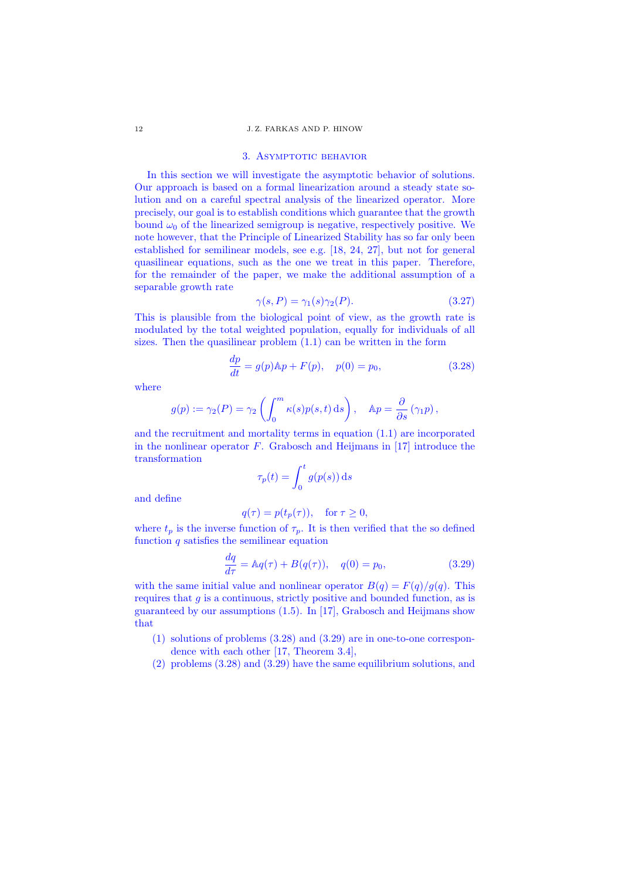#### 12 J. Z. FARKAS AND P. HINOW

## 3. ASYMPTOTIC BEHAVIOR

In this section we will investigate the asymptotic behavior of solutions. Our approach is based on a formal linearization around a steady state solution and on a careful spectral analysis of the linearized operator. More precisely, our goal is to establish conditions which guarantee that the growth bound  $\omega_0$  of the linearized semigroup is negative, respectively positive. We note however, that the Principle of Linearized Stability has so far only been established for semilinear models, see e.g. [18, 24, 27], but not for general quasilinear equations, such as the one we treat in this paper. Therefore, for the remainder of the paper, we make the additional assumption of a separable growth rate

$$
\gamma(s, P) = \gamma_1(s)\gamma_2(P). \tag{3.27}
$$

This is plausible from the biological point of view, as the growth rate is modulated by the total weighted population, equally for individuals of all sizes. Then the quasilinear problem (1.1) can be written in the form

$$
\frac{dp}{dt} = g(p)A p + F(p), \quad p(0) = p_0,
$$
\n(3.28)

where

$$
g(p) := \gamma_2(P) = \gamma_2 \left( \int_0^m \kappa(s) p(s, t) \, ds \right), \quad \mathbb{A}p = \frac{\partial}{\partial s} (\gamma_1 p),
$$

and the recruitment and mortality terms in equation (1.1) are incorporated in the nonlinear operator  $F$ . Grabosch and Heijmans in [17] introduce the transformation

$$
\tau_p(t) = \int_0^t g(p(s)) \, \mathrm{d}s
$$

and define

$$
q(\tau) = p(t_p(\tau)), \quad \text{for } \tau \ge 0,
$$

where  $t_p$  is the inverse function of  $\tau_p$ . It is then verified that the so defined function  $q$  satisfies the semilinear equation

$$
\frac{dq}{d\tau} = Aq(\tau) + B(q(\tau)), \quad q(0) = p_0,
$$
\n(3.29)

with the same initial value and nonlinear operator  $B(q) = F(q)/g(q)$ . This requires that  $g$  is a continuous, strictly positive and bounded function, as is guaranteed by our assumptions (1.5). In [17], Grabosch and Heijmans show that

- (1) solutions of problems (3.28) and (3.29) are in one-to-one correspondence with each other [17, Theorem 3.4],
- (2) problems (3.28) and (3.29) have the same equilibrium solutions, and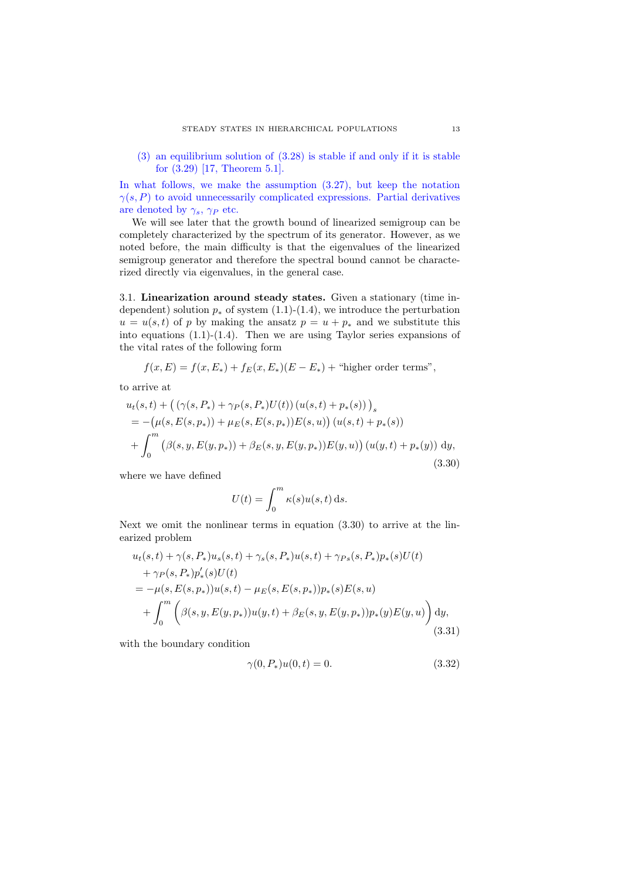(3) an equilibrium solution of (3.28) is stable if and only if it is stable for (3.29) [17, Theorem 5.1].

In what follows, we make the assumption (3.27), but keep the notation  $\gamma(s, P)$  to avoid unnecessarily complicated expressions. Partial derivatives are denoted by  $\gamma_s$ ,  $\gamma_P$  etc.

We will see later that the growth bound of linearized semigroup can be completely characterized by the spectrum of its generator. However, as we noted before, the main difficulty is that the eigenvalues of the linearized semigroup generator and therefore the spectral bound cannot be characterized directly via eigenvalues, in the general case.

3.1. Linearization around steady states. Given a stationary (time independent) solution  $p_*$  of system (1.1)-(1.4), we introduce the perturbation  $u = u(s, t)$  of p by making the ansatz  $p = u + p_*$  and we substitute this into equations (1.1)-(1.4). Then we are using Taylor series expansions of the vital rates of the following form

$$
f(x, E) = f(x, E_*) + f_E(x, E_*)(E - E_*) +
$$
 "higher order terms",

to arrive at

$$
u_t(s,t) + ((\gamma(s, P_*) + \gamma_P(s, P_*)U(t))(u(s,t) + p_*(s)))_s
$$
  
= -(\mu(s, E(s, p\_\*)) + \mu\_E(s, E(s, p\_\*))E(s, u))(u(s,t) + p\_\*(s))  
+  $\int_0^m (\beta(s, y, E(y, p_*)) + \beta_E(s, y, E(y, p_*))E(y, u))(u(y, t) + p_*(y)) dy,$   
(3.30)

where we have defined

$$
U(t) = \int_0^m \kappa(s) u(s, t) \, \mathrm{d}s.
$$

Next we omit the nonlinear terms in equation (3.30) to arrive at the linearized problem

$$
u_t(s,t) + \gamma(s, P_*)u_s(s,t) + \gamma_s(s, P_*)u(s,t) + \gamma_{Ps}(s, P_*)p_*(s)U(t) + \gamma_P(s, P_*)p'_*(s)U(t) = -\mu(s, E(s, p_*))u(s,t) - \mu_E(s, E(s, p_*))p_*(s)E(s, u) + \int_0^m \left( \beta(s, y, E(y, p_*))u(y,t) + \beta_E(s, y, E(y, p_*))p_*(y)E(y, u) \right) dy,
$$
(3.31)

with the boundary condition

$$
\gamma(0, P_*)u(0, t) = 0. \tag{3.32}
$$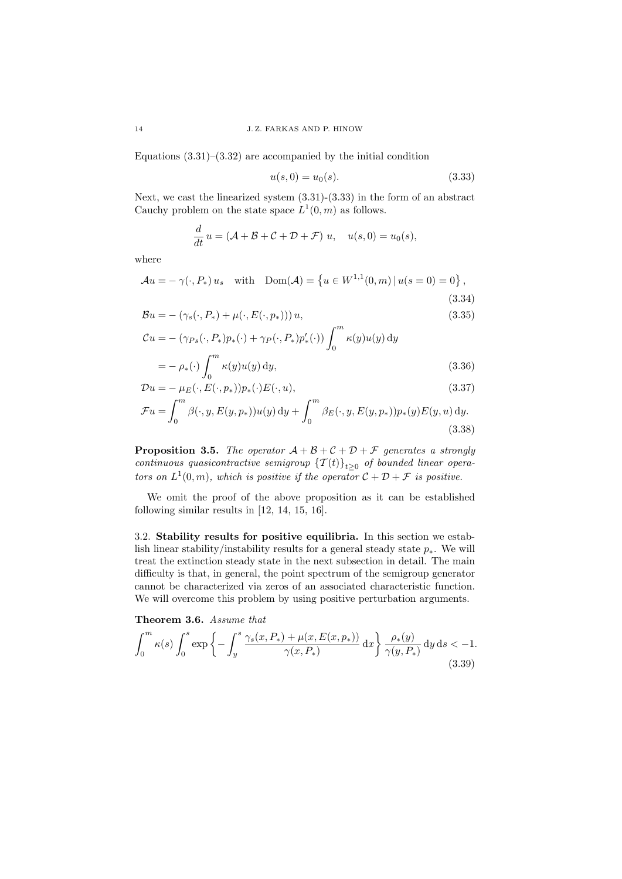Equations  $(3.31)$ – $(3.32)$  are accompanied by the initial condition

$$
u(s,0) = u_0(s). \tag{3.33}
$$

Next, we cast the linearized system (3.31)-(3.33) in the form of an abstract Cauchy problem on the state space  $L^1(0, m)$  as follows.

$$
\frac{d}{dt}u = (\mathcal{A} + \mathcal{B} + \mathcal{C} + \mathcal{D} + \mathcal{F}) u, \quad u(s,0) = u_0(s),
$$

where

d

$$
\mathcal{A}u = -\gamma(\cdot, P_*) u_s \quad \text{with} \quad \text{Dom}(\mathcal{A}) = \left\{ u \in W^{1,1}(0, m) \, | \, u(s = 0) = 0 \right\},\tag{3.34}
$$

$$
\mathcal{B}u = -\left(\gamma_s(\cdot, P_*) + \mu(\cdot, E(\cdot, p_*))\right)u,\tag{3.35}
$$

$$
\mathcal{C}u = -\left(\gamma_{Ps}(\cdot, P_*)p_*(\cdot) + \gamma_P(\cdot, P_*)p'_*(\cdot)\right) \int_0^m \kappa(y)u(y) \,dy
$$

$$
= -\rho_*(\cdot) \int_0^{\cdot} \kappa(y) u(y) \, dy,\tag{3.36}
$$

$$
\mathcal{D}u = -\mu_E(\cdot, E(\cdot, p_*))p_*(\cdot)E(\cdot, u),
$$
\n
$$
\int_m^m
$$
\n(3.37)

$$
\mathcal{F}u = \int_0^m \beta(\cdot, y, E(y, p_*)) u(y) \, dy + \int_0^m \beta_E(\cdot, y, E(y, p_*)) p_*(y) E(y, u) \, dy. \tag{3.38}
$$

**Proposition 3.5.** The operator  $A + B + C + D + F$  generates a strongly continuous quasicontractive semigroup  ${{T(t)}_{t\geq0}}$  of bounded linear operators on  $L^1(0,m)$ , which is positive if the operator  $\mathcal{C} + \mathcal{D} + \mathcal{F}$  is positive.

We omit the proof of the above proposition as it can be established following similar results in [12, 14, 15, 16].

3.2. Stability results for positive equilibria. In this section we establish linear stability/instability results for a general steady state  $p_*$ . We will treat the extinction steady state in the next subsection in detail. The main difficulty is that, in general, the point spectrum of the semigroup generator cannot be characterized via zeros of an associated characteristic function. We will overcome this problem by using positive perturbation arguments.

Theorem 3.6. Assume that

$$
\int_0^m \kappa(s) \int_0^s \exp \left\{ - \int_y^s \frac{\gamma_s(x, P_*) + \mu(x, E(x, p_*))}{\gamma(x, P_*)} dx \right\} \frac{\rho_*(y)}{\gamma(y, P_*)} dy ds < -1.
$$
\n(3.39)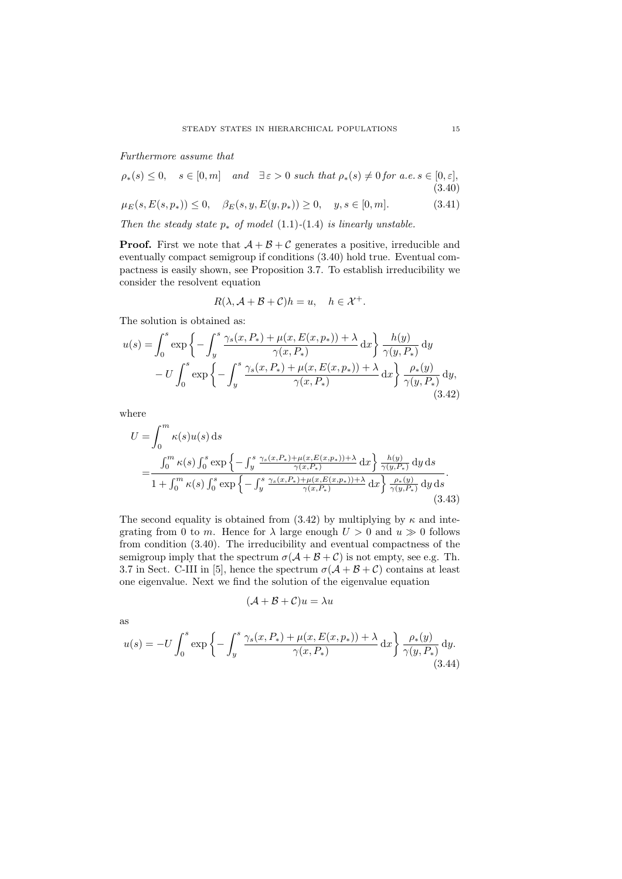## Furthermore assume that

$$
\rho_*(s) \le 0, \quad s \in [0, m] \quad and \quad \exists \varepsilon > 0 \text{ such that } \rho_*(s) \ne 0 \text{ for a.e. } s \in [0, \varepsilon],
$$
\n
$$
(3.40)
$$

$$
\mu_E(s, E(s, p_*)) \le 0, \quad \beta_E(s, y, E(y, p_*)) \ge 0, \quad y, s \in [0, m]. \tag{3.41}
$$

Then the steady state  $p_*$  of model (1.1)-(1.4) is linearly unstable.

**Proof.** First we note that  $A + B + C$  generates a positive, irreducible and eventually compact semigroup if conditions (3.40) hold true. Eventual compactness is easily shown, see Proposition 3.7. To establish irreducibility we consider the resolvent equation

$$
R(\lambda, \mathcal{A} + \mathcal{B} + \mathcal{C})h = u, \quad h \in \mathcal{X}^+.
$$

The solution is obtained as:

$$
u(s) = \int_0^s \exp\left\{-\int_y^s \frac{\gamma_s(x, P_*) + \mu(x, E(x, p_*)) + \lambda}{\gamma(x, P_*)} dx\right\} \frac{h(y)}{\gamma(y, P_*)} dy
$$

$$
-U \int_0^s \exp\left\{-\int_y^s \frac{\gamma_s(x, P_*) + \mu(x, E(x, p_*)) + \lambda}{\gamma(x, P_*)} dx\right\} \frac{\rho_*(y)}{\gamma(y, P_*)} dy,
$$
(3.42)

where

$$
U = \int_0^m \kappa(s) u(s) ds
$$
  
= 
$$
\frac{\int_0^m \kappa(s) \int_0^s \exp \left\{-\int_y^s \frac{\gamma_s(x, P_*) + \mu(x, E(x, p_*)) + \lambda}{\gamma(x, P_*)} dx\right\} \frac{h(y)}{\gamma(y, P_*)} dy ds}{1 + \int_0^m \kappa(s) \int_0^s \exp \left\{-\int_y^s \frac{\gamma_s(x, P_*) + \mu(x, E(x, p_*)) + \lambda}{\gamma(x, P_*)} dx\right\} \frac{\rho_*(y)}{\gamma(y, P_*)} dy ds}
$$
(3.43)

The second equality is obtained from (3.42) by multiplying by  $\kappa$  and integrating from 0 to m. Hence for  $\lambda$  large enough  $U > 0$  and  $u \gg 0$  follows from condition (3.40). The irreducibility and eventual compactness of the semigroup imply that the spectrum  $\sigma(A + B + C)$  is not empty, see e.g. Th. 3.7 in Sect. C-III in [5], hence the spectrum  $\sigma(\mathcal{A} + \mathcal{B} + \mathcal{C})$  contains at least one eigenvalue. Next we find the solution of the eigenvalue equation

$$
(\mathcal{A} + \mathcal{B} + \mathcal{C})u = \lambda u
$$

as

$$
u(s) = -U \int_0^s \exp \left\{ -\int_y^s \frac{\gamma_s(x, P_*) + \mu(x, E(x, p_*)) + \lambda}{\gamma(x, P_*)} dx \right\} \frac{\rho_*(y)}{\gamma(y, P_*)} dy. \tag{3.44}
$$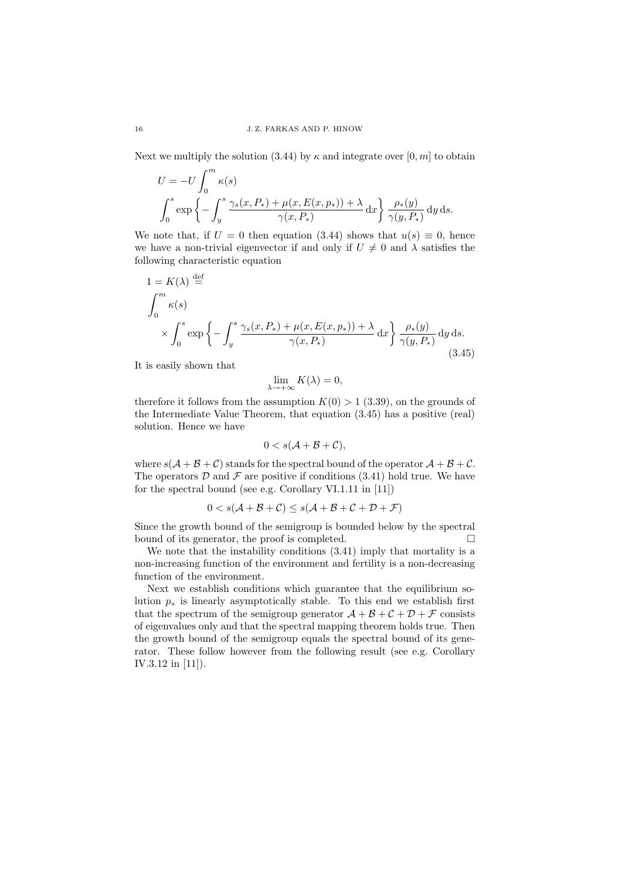Next we multiply the solution (3.44) by  $\kappa$  and integrate over [0, m] to obtain

$$
U = -U \int_0^m \kappa(s)
$$
  

$$
\int_0^s \exp \left\{-\int_y^s \frac{\gamma_s(x, P_*) + \mu(x, E(x, p_*)) + \lambda}{\gamma(x, P_*)} dx\right\} \frac{\rho_*(y)}{\gamma(y, P_*)} dy ds.
$$

We note that, if  $U = 0$  then equation (3.44) shows that  $u(s) \equiv 0$ , hence we have a non-trivial eigenvector if and only if  $U \neq 0$  and  $\lambda$  satisfies the following characteristic equation

$$
1 = K(\lambda) \stackrel{\text{def}}{=} \int_0^m \kappa(s) \times \int_0^s \exp\left\{-\int_y^s \frac{\gamma_s(x, P_*) + \mu(x, E(x, p_*)) + \lambda}{\gamma(x, P_*)} dx\right\} \frac{\rho_*(y)}{\gamma(y, P_*)} dy ds. \tag{3.45}
$$

It is easily shown that

$$
\lim_{\lambda \to +\infty} K(\lambda) = 0,
$$

therefore it follows from the assumption  $K(0) > 1$  (3.39), on the grounds of the Intermediate Value Theorem, that equation (3.45) has a positive (real) solution. Hence we have

$$
0 < s(\mathcal{A} + \mathcal{B} + \mathcal{C}),
$$

where  $s(A + B + C)$  stands for the spectral bound of the operator  $A + B + C$ . The operators  $\mathcal D$  and  $\mathcal F$  are positive if conditions (3.41) hold true. We have for the spectral bound (see e.g. Corollary VI.1.11 in [11])

$$
0 < s(\mathcal{A} + \mathcal{B} + \mathcal{C}) \le s(\mathcal{A} + \mathcal{B} + \mathcal{C} + \mathcal{D} + \mathcal{F})
$$

Since the growth bound of the semigroup is bounded below by the spectral bound of its generator, the proof is completed.  $\Box$ 

We note that the instability conditions (3.41) imply that mortality is a non-increasing function of the environment and fertility is a non-decreasing function of the environment.

Next we establish conditions which guarantee that the equilibrium solution  $p_*$  is linearly asymptotically stable. To this end we establish first that the spectrum of the semigroup generator  $\mathcal{A} + \mathcal{B} + \mathcal{C} + \mathcal{D} + \mathcal{F}$  consists of eigenvalues only and that the spectral mapping theorem holds true. Then the growth bound of the semigroup equals the spectral bound of its generator. These follow however from the following result (see e.g. Corollary IV.3.12 in [11]).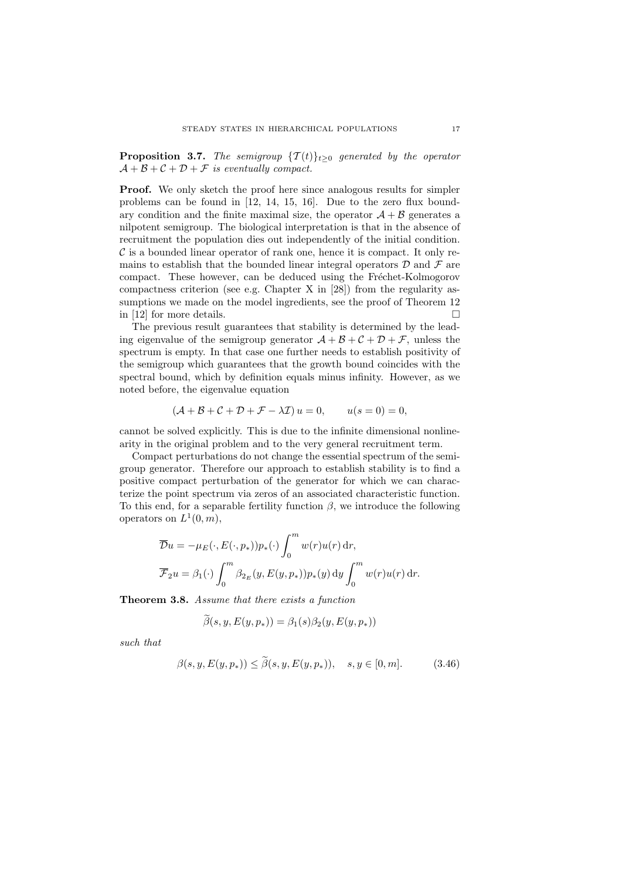**Proposition 3.7.** The semigroup  $\{T(t)\}_{t\geq0}$  generated by the operator  $\mathcal{A} + \mathcal{B} + \mathcal{C} + \mathcal{D} + \mathcal{F}$  is eventually compact.

Proof. We only sketch the proof here since analogous results for simpler problems can be found in [12, 14, 15, 16]. Due to the zero flux boundary condition and the finite maximal size, the operator  $A + B$  generates a nilpotent semigroup. The biological interpretation is that in the absence of recruitment the population dies out independently of the initial condition.  $\mathcal C$  is a bounded linear operator of rank one, hence it is compact. It only remains to establish that the bounded linear integral operators  $D$  and  $\mathcal F$  are compact. These however, can be deduced using the Fréchet-Kolmogorov compactness criterion (see e.g. Chapter X in [28]) from the regularity assumptions we made on the model ingredients, see the proof of Theorem 12 in [12] for more details.  $\square$ 

The previous result guarantees that stability is determined by the leading eigenvalue of the semigroup generator  $\mathcal{A} + \mathcal{B} + \mathcal{C} + \mathcal{D} + \mathcal{F}$ , unless the spectrum is empty. In that case one further needs to establish positivity of the semigroup which guarantees that the growth bound coincides with the spectral bound, which by definition equals minus infinity. However, as we noted before, the eigenvalue equation

$$
(\mathcal{A} + \mathcal{B} + \mathcal{C} + \mathcal{D} + \mathcal{F} - \lambda \mathcal{I}) u = 0, \qquad u(s = 0) = 0,
$$

cannot be solved explicitly. This is due to the infinite dimensional nonlinearity in the original problem and to the very general recruitment term.

Compact perturbations do not change the essential spectrum of the semigroup generator. Therefore our approach to establish stability is to find a positive compact perturbation of the generator for which we can characterize the point spectrum via zeros of an associated characteristic function. To this end, for a separable fertility function  $\beta$ , we introduce the following operators on  $L^1(0,m)$ ,

$$
\overline{\mathcal{D}}u = -\mu_E(\cdot, E(\cdot, p_*))p_*(\cdot) \int_0^m w(r)u(r) dr,
$$
  

$$
\overline{\mathcal{F}}_2u = \beta_1(\cdot) \int_0^m \beta_{2_E}(y, E(y, p_*))p_*(y) dy \int_0^m w(r)u(r) dr.
$$

Theorem 3.8. Assume that there exists a function

$$
\beta(s, y, E(y, p_*)) = \beta_1(s)\beta_2(y, E(y, p_*))
$$

such that

$$
\beta(s, y, E(y, p_*)) \leq \beta(s, y, E(y, p_*)), \quad s, y \in [0, m].
$$
 (3.46)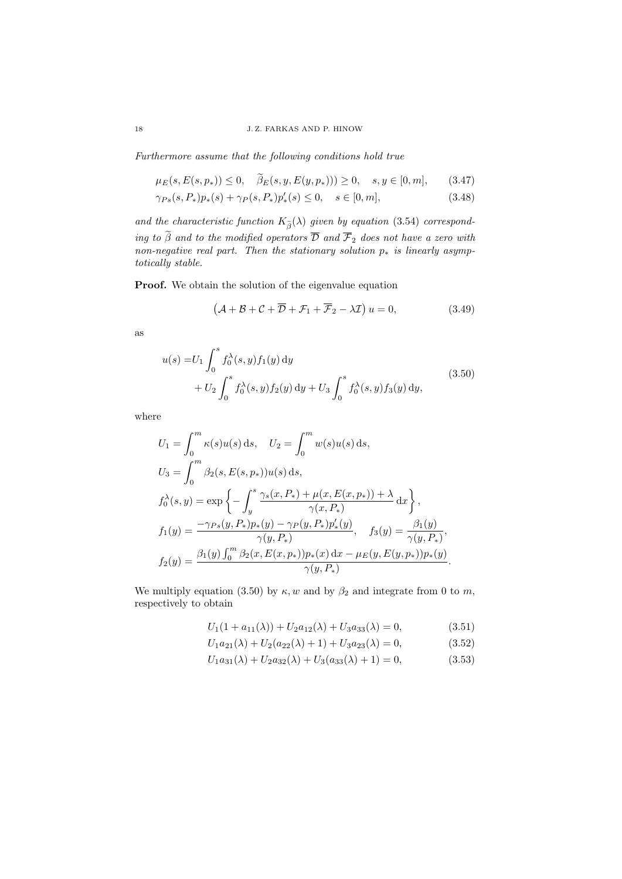Furthermore assume that the following conditions hold true

$$
\mu_E(s, E(s, p_*)) \le 0, \quad \beta_E(s, y, E(y, p_*))) \ge 0, \quad s, y \in [0, m], \tag{3.47}
$$

$$
\gamma_{Ps}(s, P_*)p_*(s) + \gamma_P(s, P_*)p'_*(s) \le 0, \quad s \in [0, m],
$$
\n(3.48)

and the characteristic function  $K_{\tilde{\beta}}(\lambda)$  given by equation (3.54) corresponding to  $\beta$  and to the modified operators  $\overline{\mathcal{D}}$  and  $\overline{\mathcal{F}}_2$  does not have a zero with non-negative real part. Then the stationary solution  $p_*$  is linearly asymptotically stable.

Proof. We obtain the solution of the eigenvalue equation

$$
(A + B + C + \overline{D} + \mathcal{F}_1 + \overline{\mathcal{F}}_2 - \lambda \mathcal{I}) u = 0,
$$
\n(3.49)

as

$$
u(s) = U_1 \int_0^s f_0^{\lambda}(s, y) f_1(y) dy + U_2 \int_0^s f_0^{\lambda}(s, y) f_2(y) dy + U_3 \int_0^s f_0^{\lambda}(s, y) f_3(y) dy,
$$
\n(3.50)

where

$$
U_1 = \int_0^m \kappa(s)u(s) ds, \quad U_2 = \int_0^m w(s)u(s) ds,
$$
  
\n
$$
U_3 = \int_0^m \beta_2(s, E(s, p_*))u(s) ds,
$$
  
\n
$$
f_0^{\lambda}(s, y) = \exp\left\{-\int_y^s \frac{\gamma_s(x, P_*) + \mu(x, E(x, p_*)) + \lambda}{\gamma(x, P_*)} dx\right\},
$$
  
\n
$$
f_1(y) = \frac{-\gamma_{Ps}(y, P_*)p_*(y) - \gamma_P(y, P_*)p'_*(y)}{\gamma(y, P_*)}, \quad f_3(y) = \frac{\beta_1(y)}{\gamma(y, P_*)},
$$
  
\n
$$
f_2(y) = \frac{\beta_1(y)\int_0^m \beta_2(x, E(x, p_*))p_*(x) dx - \mu_E(y, E(y, p_*))p_*(y)}{\gamma(y, P_*)}.
$$

We multiply equation (3.50) by  $\kappa, w$  and by  $\beta_2$  and integrate from 0 to m, respectively to obtain

$$
U_1(1 + a_{11}(\lambda)) + U_2 a_{12}(\lambda) + U_3 a_{33}(\lambda) = 0,
$$
\n(3.51)

$$
U_1 a_{21}(\lambda) + U_2 (a_{22}(\lambda) + 1) + U_3 a_{23}(\lambda) = 0, \qquad (3.52)
$$

$$
U_1 a_{31}(\lambda) + U_2 a_{32}(\lambda) + U_3 (a_{33}(\lambda) + 1) = 0, \tag{3.53}
$$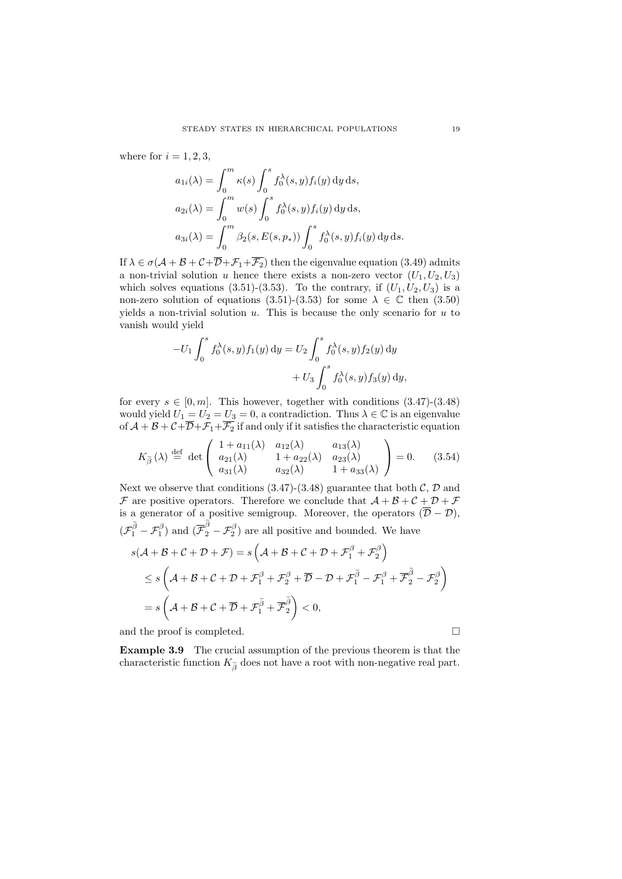where for  $i = 1, 2, 3$ ,

$$
a_{1i}(\lambda) = \int_0^m \kappa(s) \int_0^s f_0^{\lambda}(s, y) f_i(y) dy ds,
$$
  
\n
$$
a_{2i}(\lambda) = \int_0^m w(s) \int_0^s f_0^{\lambda}(s, y) f_i(y) dy ds,
$$
  
\n
$$
a_{3i}(\lambda) = \int_0^m \beta_2(s, E(s, p_*)) \int_0^s f_0^{\lambda}(s, y) f_i(y) dy ds.
$$

If  $\lambda \in \sigma(\mathcal{A} + \mathcal{B} + \mathcal{C} + \overline{\mathcal{D}} + \mathcal{F}_1 + \overline{\mathcal{F}_2})$  then the eigenvalue equation (3.49) admits a non-trivial solution u hence there exists a non-zero vector  $(U_1, U_2, U_3)$ which solves equations (3.51)-(3.53). To the contrary, if  $(U_1, U_2, U_3)$  is a non-zero solution of equations (3.51)-(3.53) for some  $\lambda \in \mathbb{C}$  then (3.50) yields a non-trivial solution  $u$ . This is because the only scenario for  $u$  to vanish would yield

$$
-U_1 \int_0^s f_0^{\lambda}(s, y) f_1(y) dy = U_2 \int_0^s f_0^{\lambda}(s, y) f_2(y) dy
$$
  
+ 
$$
U_3 \int_0^s f_0^{\lambda}(s, y) f_3(y) dy,
$$

for every  $s \in [0, m]$ . This however, together with conditions  $(3.47)-(3.48)$ would yield  $U_1 = U_2 = U_3 = 0$ , a contradiction. Thus  $\lambda \in \mathbb{C}$  is an eigenvalue of  $A + B + C + \overline{D} + \overline{F}_1 + \overline{F}_2$  if and only if it satisfies the characteristic equation

$$
K_{\widetilde{\beta}}\left(\lambda\right) \stackrel{\text{def}}{=} \det \begin{pmatrix} 1 + a_{11}(\lambda) & a_{12}(\lambda) & a_{13}(\lambda) \\ a_{21}(\lambda) & 1 + a_{22}(\lambda) & a_{23}(\lambda) \\ a_{31}(\lambda) & a_{32}(\lambda) & 1 + a_{33}(\lambda) \end{pmatrix} = 0. \tag{3.54}
$$

Next we observe that conditions  $(3.47)-(3.48)$  guarantee that both C, D and  $\mathcal F$  are positive operators. Therefore we conclude that  $\mathcal A + \mathcal B + \mathcal C + \mathcal D + \mathcal F$ is a generator of a positive semigroup. Moreover, the operators  $(\overline{\mathcal{D}} - \mathcal{D})$ ,  $(\mathcal{F}_1^{\tilde{\beta}} - \mathcal{F}_1^{\beta})$  and  $(\overline{\mathcal{F}}_2^{\beta} - \mathcal{F}_2^{\beta})$  are all positive and bounded. We have

$$
s(\mathcal{A} + \mathcal{B} + \mathcal{C} + \mathcal{D} + \mathcal{F}) = s\left(\mathcal{A} + \mathcal{B} + \mathcal{C} + \mathcal{D} + \mathcal{F}_1^{\beta} + \mathcal{F}_2^{\beta}\right)
$$
  
\n
$$
\leq s\left(\mathcal{A} + \mathcal{B} + \mathcal{C} + \mathcal{D} + \mathcal{F}_1^{\beta} + \mathcal{F}_2^{\beta} + \overline{\mathcal{D}} - \mathcal{D} + \mathcal{F}_1^{\widetilde{\beta}} - \mathcal{F}_1^{\beta} + \overline{\mathcal{F}}_2^{\widetilde{\beta}} - \mathcal{F}_2^{\beta}\right)
$$
  
\n
$$
= s\left(\mathcal{A} + \mathcal{B} + \mathcal{C} + \overline{\mathcal{D}} + \mathcal{F}_1^{\widetilde{\beta}} + \overline{\mathcal{F}}_2^{\widetilde{\beta}}\right) < 0,
$$

and the proof is completed.

Example 3.9 The crucial assumption of the previous theorem is that the characteristic function  $K_{\tilde{\beta}}$  does not have a root with non-negative real part.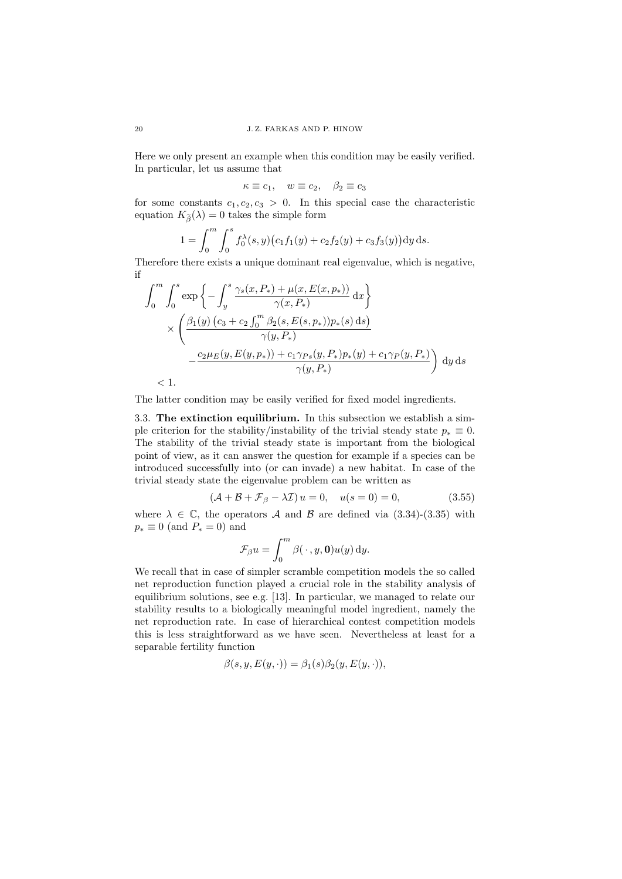Here we only present an example when this condition may be easily verified. In particular, let us assume that

 $\kappa \equiv c_1$ ,  $w \equiv c_2$ ,  $\beta_2 \equiv c_3$ 

for some constants  $c_1, c_2, c_3 > 0$ . In this special case the characteristic equation  $K_{\widetilde{\beta}}(\lambda) = 0$  takes the simple form

$$
1 = \int_0^m \int_0^s f_0^{\lambda}(s, y) (c_1 f_1(y) + c_2 f_2(y) + c_3 f_3(y)) dy ds.
$$

Therefore there exists a unique dominant real eigenvalue, which is negative, if

$$
\int_{0}^{m} \int_{0}^{s} \exp \left\{-\int_{y}^{s} \frac{\gamma_{s}(x, P_{*}) + \mu(x, E(x, p_{*}))}{\gamma(x, P_{*})} dx\right\}
$$

$$
\times \left(\frac{\beta_{1}(y) (c_{3} + c_{2} \int_{0}^{m} \beta_{2}(s, E(s, p_{*})) p_{*}(s) ds)}{\gamma(y, P_{*})}\right]
$$

$$
-\frac{c_{2} \mu_{E}(y, E(y, p_{*})) + c_{1} \gamma_{Ps}(y, P_{*}) p_{*}(y) + c_{1} \gamma_{P}(y, P_{*})}{\gamma(y, P_{*})}\right) dy ds
$$

 $< 1$ .

The latter condition may be easily verified for fixed model ingredients.

3.3. The extinction equilibrium. In this subsection we establish a simple criterion for the stability/instability of the trivial steady state  $p_* \equiv 0$ . The stability of the trivial steady state is important from the biological point of view, as it can answer the question for example if a species can be introduced successfully into (or can invade) a new habitat. In case of the trivial steady state the eigenvalue problem can be written as

$$
(\mathcal{A} + \mathcal{B} + \mathcal{F}_{\beta} - \lambda \mathcal{I}) u = 0, \quad u(s = 0) = 0,
$$
\n(3.55)

where  $\lambda \in \mathbb{C}$ , the operators A and B are defined via (3.34)-(3.35) with  $p_* \equiv 0$  (and  $P_* = 0$ ) and

$$
\mathcal{F}_{\beta}u = \int_0^m \beta(\,\cdot\,,y,\mathbf{0})u(y)\,\mathrm{d}y.
$$

We recall that in case of simpler scramble competition models the so called net reproduction function played a crucial role in the stability analysis of equilibrium solutions, see e.g. [13]. In particular, we managed to relate our stability results to a biologically meaningful model ingredient, namely the net reproduction rate. In case of hierarchical contest competition models this is less straightforward as we have seen. Nevertheless at least for a separable fertility function

$$
\beta(s, y, E(y, \cdot)) = \beta_1(s)\beta_2(y, E(y, \cdot)),
$$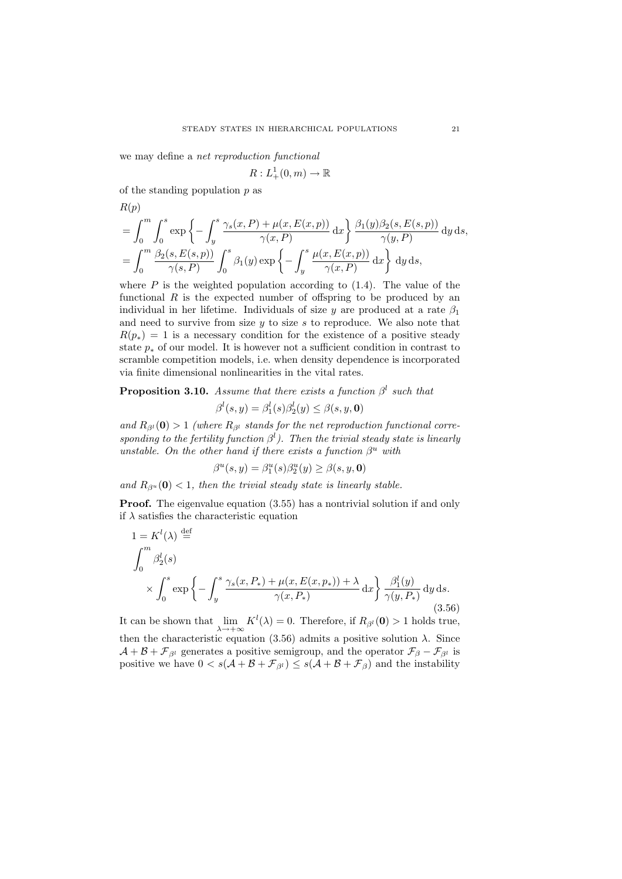we may define a net reproduction functional

$$
R: L^1_+(0, m) \to \mathbb{R}
$$

of the standing population  $p$  as

$$
R(p)
$$

$$
= \int_0^m \int_0^s \exp\left\{-\int_y^s \frac{\gamma_s(x, P) + \mu(x, E(x, p))}{\gamma(x, P)} dx\right\} \frac{\beta_1(y)\beta_2(s, E(s, p))}{\gamma(y, P)} dy ds,
$$
  

$$
= \int_0^m \frac{\beta_2(s, E(s, p))}{\gamma(s, P)} \int_0^s \beta_1(y) \exp\left\{-\int_y^s \frac{\mu(x, E(x, p))}{\gamma(x, P)} dx\right\} dy ds,
$$

where  $P$  is the weighted population according to  $(1.4)$ . The value of the functional  $R$  is the expected number of offspring to be produced by an individual in her lifetime. Individuals of size  $\gamma$  are produced at a rate  $\beta_1$ and need to survive from size  $y$  to size  $s$  to reproduce. We also note that  $R(p_*) = 1$  is a necessary condition for the existence of a positive steady state  $p_*$  of our model. It is however not a sufficient condition in contrast to scramble competition models, i.e. when density dependence is incorporated via finite dimensional nonlinearities in the vital rates.

**Proposition 3.10.** Assume that there exists a function  $\beta^l$  such that

$$
\beta^l(s, y) = \beta_1^l(s)\beta_2^l(y) \le \beta(s, y, \mathbf{0})
$$

and  $R_{\beta^l}(\mathbf{0}) > 1$  (where  $R_{\beta^l}$  stands for the net reproduction functional corresponding to the fertility function  $\beta^l$ ). Then the trivial steady state is linearly unstable. On the other hand if there exists a function  $\beta^u$  with

$$
\beta^u(s, y) = \beta_1^u(s)\beta_2^u(y) \ge \beta(s, y, \mathbf{0})
$$

and  $R_{\beta^u}(\mathbf{0}) < 1$ , then the trivial steady state is linearly stable.

**Proof.** The eigenvalue equation  $(3.55)$  has a nontrivial solution if and only if  $\lambda$  satisfies the characteristic equation

$$
1 = K^{l}(\lambda) \stackrel{\text{def}}{=} \int_{0}^{m} \beta_{2}^{l}(s) \times \int_{0}^{s} \exp\left\{-\int_{y}^{s} \frac{\gamma_{s}(x, P_{*}) + \mu(x, E(x, p_{*})) + \lambda}{\gamma(x, P_{*})} dx\right\} \frac{\beta_{1}^{l}(y)}{\gamma(y, P_{*})} dy ds. \tag{3.56}
$$

It can be shown that  $\lim_{\lambda \to +\infty} K^l(\lambda) = 0$ . Therefore, if  $R_{\beta^l}(\mathbf{0}) > 1$  holds true, then the characteristic equation (3.56) admits a positive solution  $\lambda$ . Since  $\mathcal{A} + \mathcal{B} + \mathcal{F}_{\beta}$  generates a positive semigroup, and the operator  $\mathcal{F}_{\beta} - \mathcal{F}_{\beta}$  is positive we have  $0 < s(A + B + \mathcal{F}_{\beta}) \le s(A + B + \mathcal{F}_{\beta})$  and the instability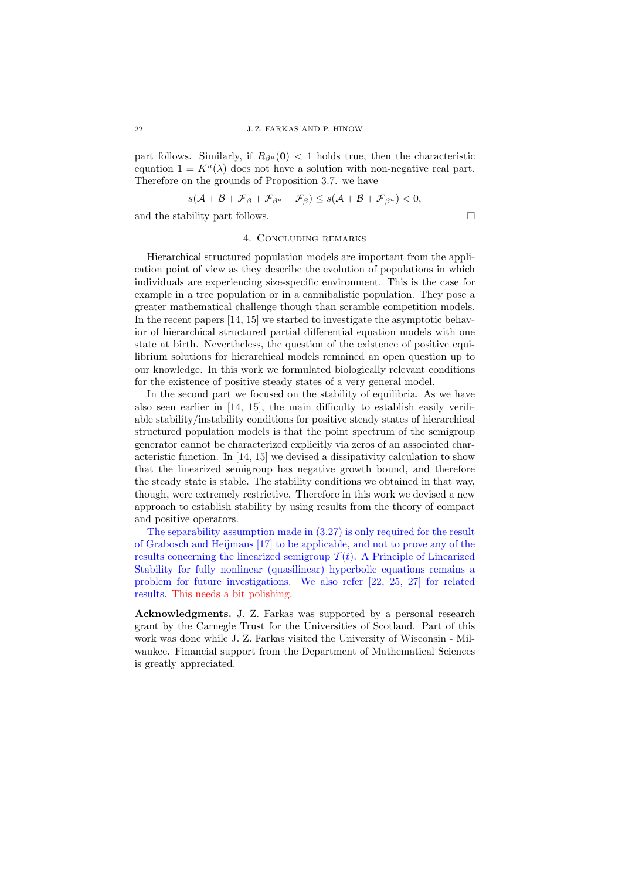part follows. Similarly, if  $R_{\beta^u}(\mathbf{0}) < 1$  holds true, then the characteristic equation  $1 = K^u(\lambda)$  does not have a solution with non-negative real part. Therefore on the grounds of Proposition 3.7. we have

$$
s(\mathcal{A} + \mathcal{B} + \mathcal{F}_{\beta} + \mathcal{F}_{\beta^u} - \mathcal{F}_{\beta}) \le s(\mathcal{A} + \mathcal{B} + \mathcal{F}_{\beta^u}) < 0,
$$
  
and the stability part follows.

## 4. Concluding remarks

Hierarchical structured population models are important from the application point of view as they describe the evolution of populations in which individuals are experiencing size-specific environment. This is the case for example in a tree population or in a cannibalistic population. They pose a greater mathematical challenge though than scramble competition models. In the recent papers [14, 15] we started to investigate the asymptotic behavior of hierarchical structured partial differential equation models with one state at birth. Nevertheless, the question of the existence of positive equilibrium solutions for hierarchical models remained an open question up to our knowledge. In this work we formulated biologically relevant conditions for the existence of positive steady states of a very general model.

In the second part we focused on the stability of equilibria. As we have also seen earlier in [14, 15], the main difficulty to establish easily verifiable stability/instability conditions for positive steady states of hierarchical structured population models is that the point spectrum of the semigroup generator cannot be characterized explicitly via zeros of an associated characteristic function. In [14, 15] we devised a dissipativity calculation to show that the linearized semigroup has negative growth bound, and therefore the steady state is stable. The stability conditions we obtained in that way, though, were extremely restrictive. Therefore in this work we devised a new approach to establish stability by using results from the theory of compact and positive operators.

The separability assumption made in (3.27) is only required for the result of Grabosch and Heijmans [17] to be applicable, and not to prove any of the results concerning the linearized semigroup  $T(t)$ . A Principle of Linearized Stability for fully nonlinear (quasilinear) hyperbolic equations remains a problem for future investigations. We also refer [22, 25, 27] for related results. This needs a bit polishing.

Acknowledgments. J. Z. Farkas was supported by a personal research grant by the Carnegie Trust for the Universities of Scotland. Part of this work was done while J. Z. Farkas visited the University of Wisconsin - Milwaukee. Financial support from the Department of Mathematical Sciences is greatly appreciated.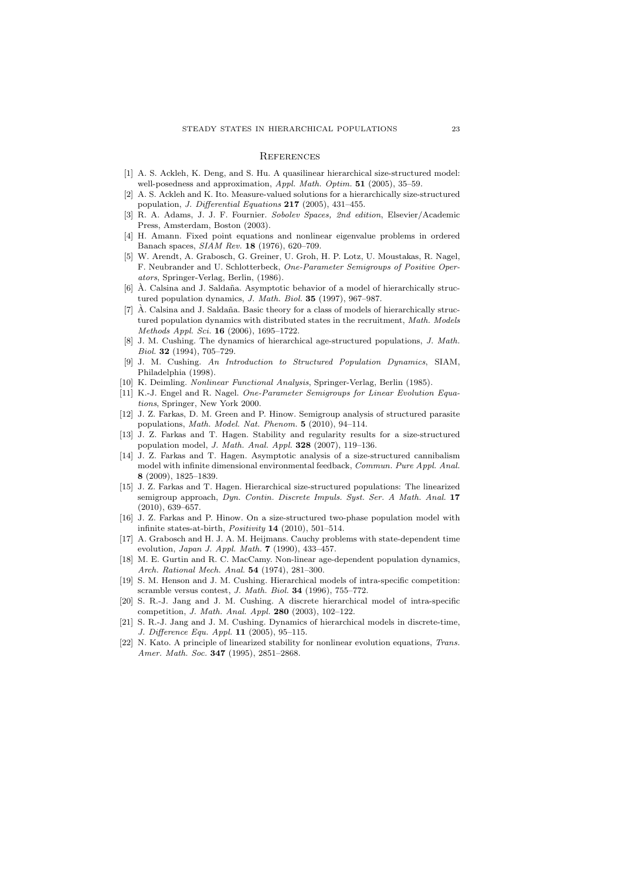## **REFERENCES**

- [1] A. S. Ackleh, K. Deng, and S. Hu. A quasilinear hierarchical size-structured model: well-posedness and approximation, Appl. Math. Optim. 51 (2005), 35-59.
- [2] A. S. Ackleh and K. Ito. Measure-valued solutions for a hierarchically size-structured population, J. Differential Equations 217 (2005), 431–455.
- [3] R. A. Adams, J. J. F. Fournier. Sobolev Spaces, 2nd edition, Elsevier/Academic Press, Amsterdam, Boston (2003).
- [4] H. Amann. Fixed point equations and nonlinear eigenvalue problems in ordered Banach spaces, SIAM Rev. 18 (1976), 620–709.
- [5] W. Arendt, A. Grabosch, G. Greiner, U. Groh, H. P. Lotz, U. Moustakas, R. Nagel, F. Neubrander and U. Schlotterbeck, One-Parameter Semigroups of Positive Operators, Springer-Verlag, Berlin, (1986).
- $[6]$  Å. Calsina and J. Saldaña. Asymptotic behavior of a model of hierarchically structured population dynamics, J. Math. Biol. 35 (1997), 967–987.
- $[7]$   $\AA$ . Calsina and J. Saldaña. Basic theory for a class of models of hierarchically structured population dynamics with distributed states in the recruitment, Math. Models Methods Appl. Sci. 16 (2006), 1695–1722.
- [8] J. M. Cushing. The dynamics of hierarchical age-structured populations, J. Math. Biol. 32 (1994), 705–729.
- [9] J. M. Cushing. An Introduction to Structured Population Dynamics, SIAM, Philadelphia (1998).
- [10] K. Deimling. Nonlinear Functional Analysis, Springer-Verlag, Berlin (1985).
- [11] K.-J. Engel and R. Nagel. One-Parameter Semigroups for Linear Evolution Equations, Springer, New York 2000.
- [12] J. Z. Farkas, D. M. Green and P. Hinow. Semigroup analysis of structured parasite populations, Math. Model. Nat. Phenom. 5 (2010), 94–114.
- [13] J. Z. Farkas and T. Hagen. Stability and regularity results for a size-structured population model, J. Math. Anal. Appl. 328 (2007), 119–136.
- [14] J. Z. Farkas and T. Hagen. Asymptotic analysis of a size-structured cannibalism model with infinite dimensional environmental feedback, Commun. Pure Appl. Anal. 8 (2009), 1825–1839.
- [15] J. Z. Farkas and T. Hagen. Hierarchical size-structured populations: The linearized semigroup approach, Dyn. Contin. Discrete Impuls. Syst. Ser. A Math. Anal. 17 (2010), 639–657.
- [16] J. Z. Farkas and P. Hinow. On a size-structured two-phase population model with infinite states-at-birth, Positivity 14 (2010), 501–514.
- [17] A. Grabosch and H. J. A. M. Heijmans. Cauchy problems with state-dependent time evolution, Japan J. Appl. Math.  $7$  (1990), 433-457.
- [18] M. E. Gurtin and R. C. MacCamy. Non-linear age-dependent population dynamics, Arch. Rational Mech. Anal. 54 (1974), 281–300.
- [19] S. M. Henson and J. M. Cushing. Hierarchical models of intra-specific competition: scramble versus contest, J. Math. Biol. 34 (1996), 755–772.
- [20] S. R.-J. Jang and J. M. Cushing. A discrete hierarchical model of intra-specific competition, J. Math. Anal. Appl. 280 (2003), 102–122.
- [21] S. R.-J. Jang and J. M. Cushing. Dynamics of hierarchical models in discrete-time, J. Difference Equ. Appl. 11 (2005), 95–115.
- [22] N. Kato. A principle of linearized stability for nonlinear evolution equations, Trans. Amer. Math. Soc. 347 (1995), 2851–2868.